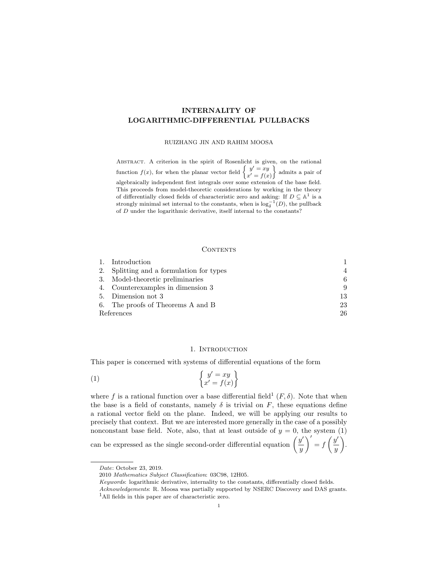# INTERNALITY OF LOGARITHMIC-DIFFERENTIAL PULLBACKS

RUIZHANG JIN AND RAHIM MOOSA

ABSTRACT. A criterion in the spirit of Rosenlicht is given, on the rational function  $f(x)$ , for when the planar vector field  $\begin{cases} y' = xy \\ y' = c(y) \end{cases}$  $x' = f(x)$  admits a pair of algebraically independent first integrals over some extension of the base field. This proceeds from model-theoretic considerations by working in the theory of differentially closed fields of characteristic zero and asking: If  $D \subseteq \mathbb{A}^1$  is a strongly minimal set internal to the constants, when is  $\log_{\delta}^{-1}(D)$ , the pullback of D under the logarithmic derivative, itself internal to the constants?

## **CONTENTS**

|            | 1. Introduction                          |                |
|------------|------------------------------------------|----------------|
|            | 2. Splitting and a formulation for types | $\overline{4}$ |
|            | 3. Model-theoretic preliminaries         | 6              |
|            | 4. Counterexamples in dimension 3        | 9              |
|            | 5. Dimension not 3                       | 13             |
|            | 6. The proofs of Theorems A and B        | 23             |
| References |                                          | 26             |

## 1. INTRODUCTION

This paper is concerned with systems of differential equations of the form

$$
\begin{cases}\ny' = xy \\
x' = f(x)\n\end{cases}
$$

where f is a rational function over a base differential field<sup>1</sup>  $(F, \delta)$ . Note that when the base is a field of constants, namely  $\delta$  is trivial on F, these equations define a rational vector field on the plane. Indeed, we will be applying our results to precisely that context. But we are interested more generally in the case of a possibly nonconstant base field. Note, also, that at least outside of  $y = 0$ , the system (1)  $\bigg)' = f\left(\frac{y'}{y}\right)$ 

can be expressed as the single second-order differential equation  $\left(\frac{y'}{z}\right)$  $\overline{y}$  $\hat{y}$ .

Date: October 23, 2019.

<sup>2010</sup> Mathematics Subject Classification: 03C98, 12H05.

Keywords: logarithmic derivative, internality to the constants, differentially closed fields.

Acknowledgements: R. Moosa was partially supported by NSERC Discovery and DAS grants. <sup>1</sup>All fields in this paper are of characteristic zero.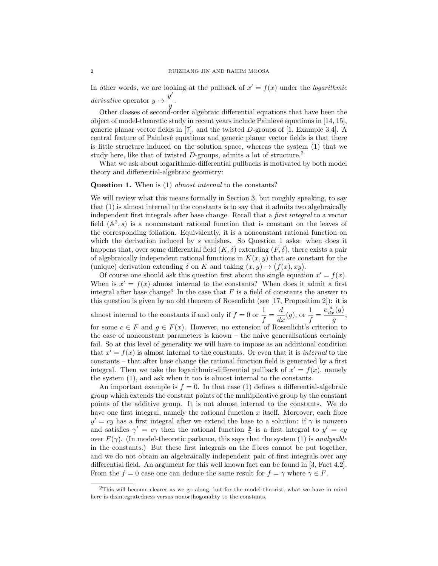In other words, we are looking at the pullback of  $x' = f(x)$  under the *logarithmic* derivative operator  $y \mapsto \frac{y'}{x}$  $\frac{y}{y}$ .

Other classes of second-order algebraic differential equations that have been the object of model-theoretic study in recent years include Painlev´e equations in [14, 15], generic planar vector fields in [7], and the twisted D-groups of [1, Example 3.4]. A central feature of Painlev´e equations and generic planar vector fields is that there is little structure induced on the solution space, whereas the system (1) that we study here, like that of twisted  $D$ -groups, admits a lot of structure.<sup>2</sup>

What we ask about logarithmic-differential pullbacks is motivated by both model theory and differential-algebraic geometry:

## Question 1. When is (1) almost internal to the constants?

We will review what this means formally in Section 3, but roughly speaking, to say that (1) is almost internal to the constants is to say that it admits two algebraically independent first integrals after base change. Recall that a first integral to a vector field  $(A^2, s)$  is a nonconstant rational function that is constant on the leaves of the corresponding foliation. Equivalently, it is a nonconstant rational function on which the derivation induced by s vanishes. So Question 1 asks: when does it happens that, over some differential field  $(K, \delta)$  extending  $(F, \delta)$ , there exists a pair of algebraically independent rational functions in  $K(x, y)$  that are constant for the (unique) derivation extending  $\delta$  on K and taking  $(x, y) \mapsto (f(x), xy)$ .

Of course one should ask this question first about the single equation  $x' = f(x)$ . When is  $x' = f(x)$  almost internal to the constants? When does it admit a first integral after base change? In the case that  $F$  is a field of constants the answer to this question is given by an old theorem of Rosenlicht (see [17, Proposition 2]): it is almost internal to the constants if and only if  $f = 0$  or  $\frac{1}{f}$  $\frac{1}{f} = \frac{d}{dx}(g)$ , or  $\frac{1}{f} = \frac{c\frac{d}{dx}(g)}{g}$  $rac{g}{g}$ , for some  $c \in F$  and  $g \in F(x)$ . However, no extension of Rosenlicht's criterion to the case of nonconstant parameters is known – the naive generalisations certainly fail. So at this level of generality we will have to impose as an additional condition that  $x' = f(x)$  is almost internal to the constants. Or even that it is *internal* to the constants – that after base change the rational function field is generated by a first integral. Then we take the logarithmic-differential pullback of  $x' = f(x)$ , namely the system (1), and ask when it too is almost internal to the constants.

An important example is  $f = 0$ . In that case (1) defines a differential-algebraic group which extends the constant points of the multiplicative group by the constant points of the additive group. It is not almost internal to the constants. We do have one first integral, namely the rational function  $x$  itself. Moreover, each fibre  $y' = cy$  has a first integral after we extend the base to a solution: if  $\gamma$  is nonzero and satisfies  $\gamma' = c\gamma$  then the rational function  $\frac{y}{\gamma}$  is a first integral to  $y' = cy$ over  $F(\gamma)$ . (In model-theoretic parlance, this says that the system (1) is *analysable* in the constants.) But these first integrals on the fibres cannot be put together, and we do not obtain an algebraically independent pair of first integrals over any differential field. An argument for this well known fact can be found in [3, Fact 4.2]. From the  $f = 0$  case one can deduce the same result for  $f = \gamma$  where  $\gamma \in F$ .

<sup>2</sup>This will become clearer as we go along, but for the model theorist, what we have in mind here is disintegratedness versus nonorthogonality to the constants.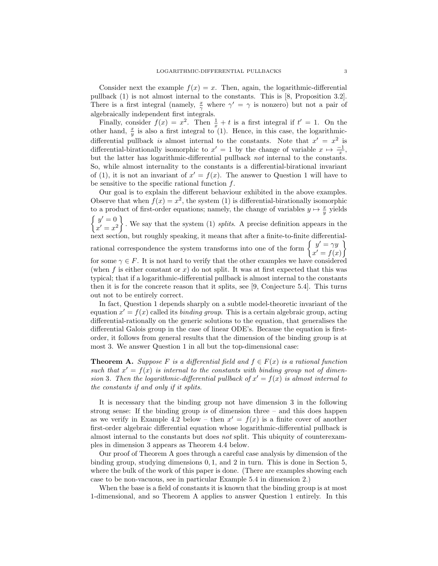Consider next the example  $f(x) = x$ . Then, again, the logarithmic-differential pullback (1) is not almost internal to the constants. This is [8, Proposition 3.2]. There is a first integral (namely,  $\frac{x}{\gamma}$  where  $\gamma' = \gamma$  is nonzero) but not a pair of algebraically independent first integrals.

Finally, consider  $f(x) = x^2$ . Then  $\frac{1}{x} + t$  is a first integral if  $t' = 1$ . On the other hand,  $\frac{x}{y}$  is also a first integral to (1). Hence, in this case, the logarithmicdifferential pullback is almost internal to the constants. Note that  $x' = x^2$  is differential-birationally isomorphic to  $x' = 1$  by the change of variable  $x \mapsto \frac{-1}{x}$ , but the latter has logarithmic-differential pullback not internal to the constants. So, while almost internality to the constants is a differential-birational invariant of (1), it is not an invariant of  $x' = f(x)$ . The answer to Question 1 will have to be sensitive to the specific rational function  $f$ .

Our goal is to explain the different behaviour exhibited in the above examples. Observe that when  $f(x) = x^2$ , the system (1) is differential-birationally isomorphic to a product of first-order equations; namely, the change of variables  $y \mapsto \frac{x}{y}$  yields  $\int y'=0$  $x' = x^2$  $\}$ . We say that the system (1) splits. A precise definition appears in the next section, but roughly speaking, it means that after a finite-to-finite differentialrational correspondence the system transforms into one of the form  $\begin{cases} y' = \gamma y \\ y' = \gamma y \end{cases}$  $x' = f(x)$ <u>)</u> for some  $\gamma \in F$ . It is not hard to verify that the other examples we have considered (when f is either constant or  $x$ ) do not split. It was at first expected that this was typical; that if a logarithmic-differential pullback is almost internal to the constants then it is for the concrete reason that it splits, see [9, Conjecture 5.4]. This turns out not to be entirely correct.

In fact, Question 1 depends sharply on a subtle model-theoretic invariant of the equation  $x' = f(x)$  called its *binding group*. This is a certain algebraic group, acting differential-rationally on the generic solutions to the equation, that generalises the differential Galois group in the case of linear ODE's. Because the equation is firstorder, it follows from general results that the dimension of the binding group is at most 3. We answer Question 1 in all but the top-dimensional case:

**Theorem A.** Suppose F is a differential field and  $f \in F(x)$  is a rational function such that  $x' = f(x)$  is internal to the constants with binding group not of dimension 3. Then the logarithmic-differential pullback of  $x' = f(x)$  is almost internal to the constants if and only if it splits.

It is necessary that the binding group not have dimension 3 in the following strong sense: If the binding group is of dimension three  $-$  and this does happen as we verify in Example 4.2 below – then  $x' = f(x)$  is a finite cover of another first-order algebraic differential equation whose logarithmic-differential pullback is almost internal to the constants but does not split. This ubiquity of counterexamples in dimension 3 appears as Theorem 4.4 below.

Our proof of Theorem A goes through a careful case analysis by dimension of the binding group, studying dimensions 0, 1, and 2 in turn. This is done in Section 5, where the bulk of the work of this paper is done. (There are examples showing each case to be non-vacuous, see in particular Example 5.4 in dimension 2.)

When the base is a field of constants it is known that the binding group is at most 1-dimensional, and so Theorem A applies to answer Question 1 entirely. In this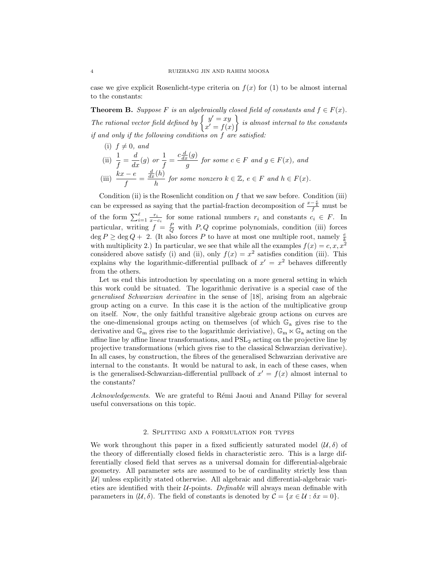case we give explicit Rosenlicht-type criteria on  $f(x)$  for (1) to be almost internal to the constants:

**Theorem B.** Suppose F is an algebraically closed field of constants and  $f \in F(x)$ . The rational vector field defined by  $\begin{cases} y' = xy \\ y' = c \end{cases}$  $x' = f(x)$  $\}$  is almost internal to the constants if and only if the following conditions on f are satisfied:

- (i)  $f \neq 0$ , and
- (ii)  $\frac{1}{f} = \frac{d}{dx}(g)$  or  $\frac{1}{f}$  $\frac{1}{f} = \frac{c\frac{d}{dx}(g)}{g}$  $\frac{g(x,y)}{g}$  for some  $c \in F$  and  $g \in F(x)$ , and (iii)  $\frac{kx-e}{f}$  =  $\frac{d}{dx}(h)$  $\frac{f^{(h)}}{h}$  for some nonzero  $k \in \mathbb{Z}$ ,  $e \in F$  and  $h \in F(x)$ .

Condition (ii) is the Rosenlicht condition on  $f$  that we saw before. Condition (iii) can be expressed as saying that the partial-fraction decomposition of  $\frac{x-\frac{e}{h}}{f}$  must be of the form  $\sum_{i=1}^{\ell} \frac{r_i}{x-c_i}$  for some rational numbers  $r_i$  and constants  $c_i \in F$ . In particular, writing  $f = \frac{P}{Q}$  with P, Q coprime polynomials, condition (iii) forces  $\deg P \ge \deg Q + 2$ . (It also forces P to have at most one multiple root, namely  $\frac{e}{k}$ with multiplicity 2.) In particular, we see that while all the examples  $f(x) = c, x, x^2$ considered above satisfy (i) and (ii), only  $f(x) = x^2$  satisfies condition (iii). This explains why the logarithmic-differential pullback of  $x' = x^2$  behaves differently from the others.

Let us end this introduction by speculating on a more general setting in which this work could be situated. The logarithmic derivative is a special case of the generalised Schwarzian derivative in the sense of [18], arising from an algebraic group acting on a curve. In this case it is the action of the multiplicative group on itself. Now, the only faithful transitive algebraic group actions on curves are the one-dimensional groups acting on themselves (of which  $\mathbb{G}_a$  gives rise to the derivative and  $\mathbb{G}_m$  gives rise to the logarithmic deriviative),  $\mathbb{G}_m \ltimes \mathbb{G}_a$  acting on the affine line by affine linear transformations, and  $PSL<sub>2</sub>$  acting on the projective line by projective transformations (which gives rise to the classical Schwarzian derivative). In all cases, by construction, the fibres of the generalised Schwarzian derivative are internal to the constants. It would be natural to ask, in each of these cases, when is the generalised-Schwarzian-differential pullback of  $x' = f(x)$  almost internal to the constants?

Acknowledgements. We are grateful to Rémi Jaoui and Anand Pillay for several useful conversations on this topic.

## 2. Splitting and a formulation for types

We work throughout this paper in a fixed sufficiently saturated model  $(\mathcal{U},\delta)$  of the theory of differentially closed fields in characteristic zero. This is a large differentially closed field that serves as a universal domain for differential-algebraic geometry. All parameter sets are assumed to be of cardinality strictly less than |U| unless explicitly stated otherwise. All algebraic and differential-algebraic varieties are identified with their  $U$ -points. Definable will always mean definable with parameters in  $(\mathcal{U}, \delta)$ . The field of constants is denoted by  $\mathcal{C} = \{x \in \mathcal{U} : \delta x = 0\}.$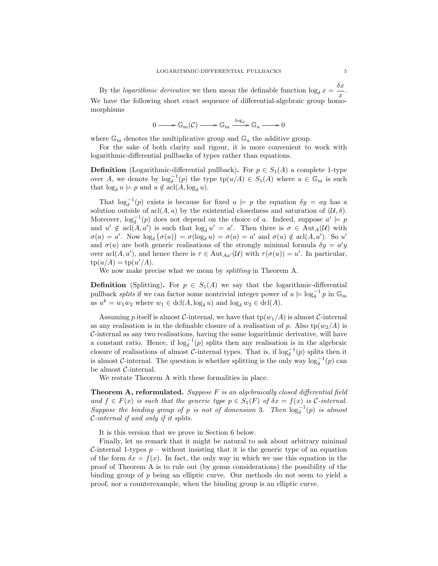By the *logarithmic derivative* we then mean the definable function  $\log_{\delta} x = \frac{\delta x}{x}$  $\frac{x}{x}$ . We have the following short exact sequence of differential-algebraic group homomorphisms

$$
0 \longrightarrow \mathbb{G}_{m}(\mathcal{C}) \longrightarrow \mathbb{G}_{m} \xrightarrow{\log_{\delta}} \mathbb{G}_{a} \longrightarrow 0
$$

where  $\mathbb{G}_{m}$  denotes the multiplicative group and  $\mathbb{G}_{a}$  the additive group.

For the sake of both clarity and rigour, it is more convenient to work with logarithmic-differential pullbacks of types rather than equations.

**Definition** (Logarithmic-differential pullback). For  $p \in S_1(A)$  a complete 1-type over A, we denote by  $\log_{\delta}^{-1}(p)$  the type  $\text{tp}(u/A) \in S_1(A)$  where  $u \in \mathbb{G}_{m}$  is such that  $\log_{\delta} u = p$  and  $u \notin \operatorname{acl}(A, \log_{\delta} u)$ .

That  $\log_{\delta}^{-1}(p)$  exists is because for fixed  $a \models p$  the equation  $\delta y = ay$  has a solution outside of acl $(A, a)$  by the existential closedness and saturation of  $(\mathcal{U}, \delta)$ . Moreover,  $\log_{\delta}^{-1}(p)$  does not depend on the choice of a. Indeed, suppose  $a' \models p$ and  $u' \notin \text{acl}(A, a')$  is such that  $\log_{\delta} u' = a'$ . Then there is  $\sigma \in \text{Aut}_{A}(\mathcal{U})$  with  $\sigma(a) = a'$ . Now  $\log_{\delta} (\sigma(u)) = \sigma(\log_{\delta} u) = \sigma(a) = a'$  and  $\sigma(u) \notin \text{acl}(A, a')$ . So u' and  $\sigma(u)$  are both generic realisations of the strongly minimal formula  $\delta y = a'y$ over  $\text{acl}(A, a')$ , and hence there is  $\tau \in \text{Aut}_{Aa'}(\mathcal{U})$  with  $\tau(\sigma(u)) = u'$ . In particular,  $tp(u/A) = tp(u'/A).$ 

We now make precise what we mean by *splitting* in Theorem A.

**Definition** (Splitting). For  $p \in S_1(A)$  we say that the logarithmic-differential pullback splits if we can factor some nontrivial integer power of  $u \models \log_{\delta}^{-1} p$  in  $\mathbb{G}_{m}$ as  $u^k = w_1 w_2$  where  $w_1 \in \text{dcl}(A, \log_{\delta} u)$  and  $\log_{\delta} w_2 \in \text{dcl}(A)$ .

Assuming p itself is almost C-internal, we have that  $tp(w_1/A)$  is almost C-internal as any realisation is in the definable closure of a realisation of p. Also  $tp(w_2/A)$  is C-internal as any two realisations, having the same logarithmic derivative, will have a constant ratio. Hence, if  $\log_{\delta}^{-1}(p)$  splits then any realisation is in the algebraic closure of realisations of almost  $\mathcal{C}$ -internal types. That is, if  $\log_{\delta}^{-1}(p)$  splits then it is almost C-internal. The question is whether splitting is the only way  $\log_{\delta}^{-1}(p)$  can be almost C-internal.

We restate Theorem A with these formalities in place.

**Theorem A, reformulated.** Suppose  $F$  is an algebraically closed differential field and  $f \in F(x)$  is such that the generic type  $p \in S_1(F)$  of  $\delta x = f(x)$  is C-internal. Suppose the binding group of p is not of dimension 3. Then  $\log_{\delta}^{-1}(p)$  is almost C-internal if and only if it splits.

It is this version that we prove in Section 6 below.

Finally, let us remark that it might be natural to ask about arbitrary minimal C-internal 1-types  $p$  – without insisting that it is the generic type of an equation of the form  $\delta x = f(x)$ . In fact, the only way in which we use this equation in the proof of Theorem A is to rule out (by genus considerations) the possibility of the binding group of p being an elliptic curve. Our methods do not seem to yield a proof, nor a counterexample, when the binding group is an elliptic curve.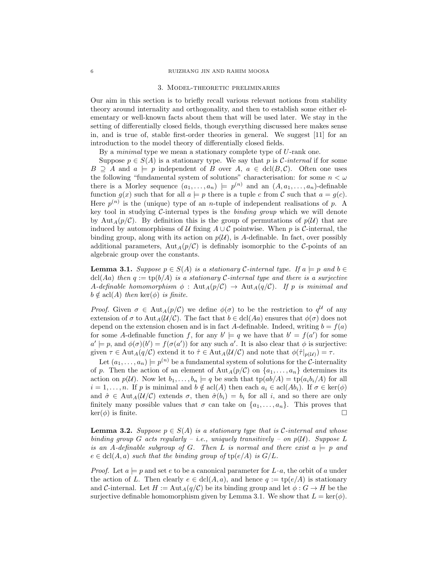#### 3. Model-theoretic preliminaries

Our aim in this section is to briefly recall various relevant notions from stability theory around internality and orthogonality, and then to establish some either elementary or well-known facts about them that will be used later. We stay in the setting of differentially closed fields, though everything discussed here makes sense in, and is true of, stable first-order theories in general. We suggest [11] for an introduction to the model theory of differentially closed fields.

By a *minimal* type we mean a stationary complete type of U-rank one.

Suppose  $p \in S(A)$  is a stationary type. We say that p is *C*-internal if for some  $B \supseteq A$  and  $a \models p$  independent of B over  $A, a \in \text{dcl}(B, C)$ . Often one uses the following "fundamental system of solutions" characterisation: for some  $n < \omega$ there is a Morley sequence  $(a_1, \ldots, a_n) \models p^{(n)}$  and an  $(A, a_1, \ldots, a_n)$ -definable function  $g(x)$  such that for all  $a \models p$  there is a tuple c from C such that  $a = g(c)$ . Here  $p^{(n)}$  is the (unique) type of an *n*-tuple of independent realisations of p. A key tool in studying  $C$ -internal types is the *binding group* which we will denote by Aut<sub>A</sub> $(p/\mathcal{C})$ . By definition this is the group of permutations of  $p(\mathcal{U})$  that are induced by automorphisms of U fixing  $A \cup C$  pointwise. When p is C-internal, the binding group, along with its action on  $p(\mathcal{U})$ , is A-definable. In fact, over possibly additional parameters,  $\text{Aut}_A(p/\mathcal{C})$  is definably isomorphic to the C-points of an algebraic group over the constants.

**Lemma 3.1.** Suppose  $p \in S(A)$  is a stationary C-internal type. If  $a \models p$  and  $b \in S(A)$ dcl(Aa) then  $q := \text{tp}(b/A)$  is a stationary C-internal type and there is a surjective A-definable homomorphism  $\phi$ : Aut<sub>A</sub>(p/C)  $\rightarrow$  Aut<sub>A</sub>(q/C). If p is minimal and  $b \notin \operatorname{acl}(A)$  then  $\ker(\phi)$  is finite.

*Proof.* Given  $\sigma \in \text{Aut}_A(p/\mathcal{C})$  we define  $\phi(\sigma)$  to be the restriction to  $q^{\mathcal{U}}$  of any extension of  $\sigma$  to Aut<sub>A</sub>( $\mathcal{U}/\mathcal{C}$ ). The fact that  $b \in \text{dcl}(Aa)$  ensures that  $\phi(\sigma)$  does not depend on the extension chosen and is in fact A-definable. Indeed, writing  $b = f(a)$ for some A-definable function f, for any  $b' \models q$  we have that  $b' = f(a')$  for some  $a' \models p$ , and  $\phi(\sigma)(b') = f(\sigma(a'))$  for any such a'. It is also clear that  $\phi$  is surjective: given  $\tau \in \text{Aut}_{A}(q/\mathcal{C})$  extend it to  $\hat{\tau} \in \text{Aut}_{A}(\mathcal{U}/\mathcal{C})$  and note that  $\phi(\hat{\tau}|_{p(\mathcal{U})}) = \tau$ .

Let  $(a_1, \ldots, a_n) \models p^{(n)}$  be a fundamental system of solutions for the C-internality of p. Then the action of an element of  $\text{Aut}_A(p/\mathcal{C})$  on  $\{a_1, \ldots, a_n\}$  determines its action on  $p(\mathcal{U})$ . Now let  $b_1, \ldots, b_n \models q$  be such that  $tp(ab/A) = tp(a_ib_i/A)$  for all  $i = 1, \ldots, n$ . If p is minimal and  $b \notin \operatorname{acl}(A)$  then each  $a_i \in \operatorname{acl}(Ab_i)$ . If  $\sigma \in \ker(\phi)$ and  $\hat{\sigma} \in Aut_A(\mathcal{U}/\mathcal{C})$  extends  $\sigma$ , then  $\hat{\sigma}(b_i) = b_i$  for all i, and so there are only finitely many possible values that  $\sigma$  can take on  $\{a_1, \ldots, a_n\}$ . This proves that  $\ker(\phi)$  is finite.

**Lemma 3.2.** Suppose  $p \in S(A)$  is a stationary type that is C-internal and whose binding group G acts regularly – i.e., uniquely transitively – on  $p(\mathcal{U})$ . Suppose L is an A-definable subgroup of G. Then L is normal and there exist  $a \models p$  and  $e \in \text{dcl}(A, a)$  such that the binding group of  $\text{tp}(e/A)$  is  $G/L$ .

*Proof.* Let  $a \models p$  and set e to be a canonical parameter for  $L \cdot a$ , the orbit of a under the action of L. Then clearly  $e \in \text{dcl}(A, a)$ , and hence  $q := \text{tp}(e/A)$  is stationary and C-internal. Let  $H := \text{Aut}_A(q/\mathcal{C})$  be its binding group and let  $\phi : G \to H$  be the surjective definable homomorphism given by Lemma 3.1. We show that  $L = \text{ker}(\phi)$ .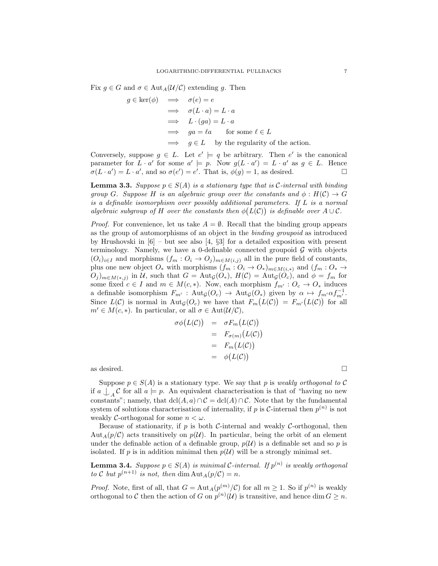Fix  $g \in G$  and  $\sigma \in \text{Aut}_A(U/\mathcal{C})$  extending g. Then

$$
g \in \ker(\phi) \implies \sigma(e) = e
$$
  
\n
$$
\implies \sigma(L \cdot a) = L \cdot a
$$
  
\n
$$
\implies L \cdot (ga) = L \cdot a
$$
  
\n
$$
\implies ga = \ell a \quad \text{for some } \ell \in L
$$
  
\n
$$
\implies g \in L \quad \text{by the regularity of the action.}
$$

Conversely, suppose  $g \in L$ . Let  $e' \models q$  be arbitrary. Then e' is the canonical parameter for  $L \cdot a'$  for some  $a' \models p$ . Now  $g(L \cdot a') = L \cdot a'$  as  $g \in L$ . Hence  $\sigma(L \cdot a') = L \cdot a'$ , and so  $\sigma(e') = e'$ . That is,  $\phi(g) = 1$ , as desired.

**Lemma 3.3.** Suppose  $p \in S(A)$  is a stationary type that is C-internal with binding group G. Suppose H is an algebraic group over the constants and  $\phi: H(\mathcal{C}) \to G$ is a definable isomorphism over possibly additional parameters. If L is a normal algebraic subgroup of H over the constants then  $\phi(L(\mathcal{C}))$  is definable over  $A\cup\mathcal{C}$ .

*Proof.* For convenience, let us take  $A = \emptyset$ . Recall that the binding group appears as the group of automorphisms of an object in the binding groupoid as introduced by Hrushovski in [6] – but see also [4, §3] for a detailed exposition with present terminology. Namely, we have a 0-definable connected groupoid  $\mathcal G$  with objects  $(O_i)_{i\in I}$  and morphisms  $(f_m: O_i \to O_j)_{m\in M(i,j)}$  all in the pure field of constants, plus one new object  $O_*$  with morphisms  $(f_m: O_i \to O_*)_{m \in M(i, *)}$  and  $(f_m: O_* \to O_*)$  $O_j)_{m \in M(*,j)}$  in U, such that  $G = \text{Aut}_{\mathcal{G}}(O_*)$ ,  $H(\mathcal{C}) = \text{Aut}_{\mathcal{G}}(O_c)$ , and  $\phi = f_m$  for some fixed  $c \in I$  and  $m \in M(c, *)$ . Now, each morphism  $f_{m'} : O_c \to O_*$  induces a definable isomorphism  $F_{m'}$ :  $Aut_{\mathcal{G}}(O_c) \to Aut_{\mathcal{G}}(O_*)$  given by  $\alpha \mapsto f_{m'} \alpha f_{m'}^{-1}$ . Since  $L(\mathcal{C})$  is normal in  $\text{Aut}_{\mathcal{G}}(O_c)$  we have that  $F_m(L(\mathcal{C})) = F_{m'}(L(\mathcal{C}))$  for all  $m' \in M(c, *)$ . In particular, or all  $\sigma \in \text{Aut}(\mathcal{U}/\mathcal{C}),$ 

$$
\sigma \phi(L(C)) = \sigma F_m(L(C))
$$
  
=  $F_{\sigma(m)}(L(C))$   
=  $F_m(L(C))$   
=  $\phi(L(C))$ 

as desired.  $\Box$ 

Suppose  $p \in S(A)$  is a stationary type. We say that p is weakly orthogonal to C if  $a \bigcup_{A} C$  for all  $a \models p$ . An equivalent characterisation is that of "having no new constants"; namely, that  $dcl(A, a) \cap C = dcl(A) \cap C$ . Note that by the fundamental system of solutions characterisation of internality, if p is C-internal then  $p^{(n)}$  is not weakly C-orthogonal for some  $n < \omega$ .

Because of stationarity, if  $p$  is both C-internal and weakly C-orthogonal, then Aut<sub>A</sub>( $p/\mathcal{C}$ ) acts transitively on  $p(\mathcal{U})$ . In particular, being the orbit of an element under the definable action of a definable group,  $p(\mathcal{U})$  is a definable set and so p is isolated. If  $p$  is in addition minimal then  $p(\mathcal{U})$  will be a strongly minimal set.

**Lemma 3.4.** Suppose  $p \in S(A)$  is minimal C-internal. If  $p^{(n)}$  is weakly orthogonal to C but  $p^{(n+1)}$  is not, then dim  $\text{Aut}_A(p/\mathcal{C}) = n$ .

*Proof.* Note, first of all, that  $G = \text{Aut}_A(p^{(m)}/\mathcal{C})$  for all  $m \geq 1$ . So if  $p^{(n)}$  is weakly orthogonal to C then the action of G on  $p^{(n)}(\mathcal{U})$  is transitive, and hence dim  $G \geq n$ .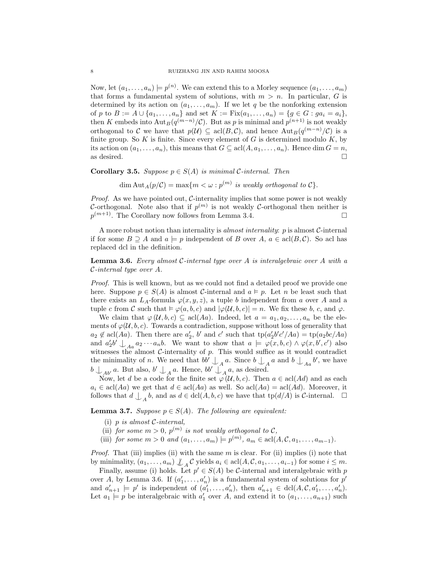Now, let  $(a_1, \ldots, a_n) \models p^{(n)}$ . We can extend this to a Morley sequence  $(a_1, \ldots, a_m)$ that forms a fundamental system of solutions, with  $m > n$ . In particular, G is determined by its action on  $(a_1, \ldots, a_m)$ . If we let q be the nonforking extension of p to  $B := A \cup \{a_1, \ldots, a_n\}$  and set  $K := Fix(a_1, \ldots, a_n) = \{g \in G : ga_i = a_i\},\$ then K embeds into  $\text{Aut}_B(q^{(m-n)}/\mathcal{C})$ . But as p is minimal and  $p^{(n+1)}$  is not weakly orthogonal to C we have that  $p(\mathcal{U}) \subseteq \text{acl}(B,\mathcal{C})$ , and hence  $\text{Aut}_B(q^{(m-n)}/\mathcal{C})$  is a finite group. So  $K$  is finite. Since every element of  $G$  is determined modulo  $K$ , by its action on  $(a_1, \ldots, a_n)$ , this means that  $G \subseteq \text{acl}(A, a_1, \ldots, a_n)$ . Hence dim  $G = n$ , as desired.  $\Box$ 

**Corollary 3.5.** Suppose  $p \in S(A)$  is minimal C-internal. Then

 $\dim \text{Aut}_A(p/\mathcal{C}) = \max\{m < \omega : p^{(m)} \text{ is weakly orthogonal to } \mathcal{C}\}.$ 

*Proof.* As we have pointed out,  $C$ -internality implies that some power is not weakly C-orthogonal. Note also that if  $p^{(m)}$  is not weakly C-orthogonal then neither is  $p^{(m+1)}$ . The Corollary now follows from Lemma 3.4.

A more robust notion than internality is *almost internality:*  $p$  is almost  $C$ -internal if for some  $B \supseteq A$  and  $a \models p$  independent of B over  $A, a \in \text{acl}(B, \mathcal{C})$ . So acl has replaced dcl in the definition.

**Lemma 3.6.** Every almost C-internal type over A is interalgebraic over A with a C-internal type over A.

Proof. This is well known, but as we could not find a detailed proof we provide one here. Suppose  $p \in S(A)$  is almost C-internal and  $a \models p$ . Let n be least such that there exists an  $L_A$ -formula  $\varphi(x, y, z)$ , a tuple b independent from a over A and a tuple c from C such that  $\models \varphi(a, b, c)$  and  $|\varphi(\mathcal{U}, b, c)| = n$ . We fix these b, c, and  $\varphi$ .

We claim that  $\varphi(\mathcal{U},b,c) \subseteq \text{acl}(Aa)$ . Indeed, let  $a = a_1, a_2, \ldots, a_n$  be the elements of  $\varphi(\mathcal{U},b,c)$ . Towards a contradiction, suppose without loss of generality that  $a_2 \notin \text{acl}(Aa)$ . Then there are  $a'_2$ , b' and c' such that  $\text{tp}(a'_2b'c'/Aa) = \text{tp}(a_2bc/Aa)$ and  $a'_2b' \perp_{Aa} a_2 \cdots a_nb$ . We want to show that  $a \models \varphi(x, b, c) \land \varphi(x, b', c')$  also witnesses the almost  $C$ -internality of  $p$ . This would suffice as it would contradict the minimality of n. We need that  $bb' \bigcup_A a$ . Since  $b \bigcup_A a$  and  $b \bigcup_{A} a$  b', we have  $b \bigcup_{Ab'} a$ . But also,  $b' \bigcup_{A} a$ . Hence,  $bb' \bigcup_{A} a$ , as desired.

Now, let d be a code for the finite set  $\varphi(\mathcal{U},b,c)$ . Then  $a \in \text{acl}(Ad)$  and as each  $a_i \in \text{acl}(Aa)$  we get that  $d \in \text{acl}(Aa)$  as well. So  $\text{acl}(Aa) = \text{acl}(Ad)$ . Moreover, it follows that  $d \n\bigcup_{A} b$ , and as  $d \in \text{dcl}(A, b, c)$  we have that  $\text{tp}(d/A)$  is C-internal.  $\Box$ 

**Lemma 3.7.** Suppose  $p \in S(A)$ . The following are equivalent:

- (i) p is almost  $C$ -internal,
- (ii) for some  $m > 0$ ,  $p^{(m)}$  is not weakly orthogonal to C,
- (iii) for some  $m > 0$  and  $(a_1, ..., a_m) \models p^{(m)}$ ,  $a_m \in \text{acl}(A, C, a_1, ..., a_{m-1})$ .

*Proof.* That (iii) implies (ii) with the same  $m$  is clear. For (ii) implies (i) note that by minimality,  $(a_1, \ldots, a_m) \nsubseteq A \mathcal{C}$  yields  $a_i \in \text{acl}(A, \mathcal{C}, a_1, \ldots, a_{i-1})$  for some  $i \leq m$ .

Finally, assume (i) holds. Let  $p' \in S(A)$  be C-internal and interalgebraic with p over A, by Lemma 3.6. If  $(a'_1, \ldots, a'_n)$  is a fundamental system of solutions for  $p'$ and  $a'_{n+1} \models p'$  is independent of  $(a'_1, \ldots, a'_n)$ , then  $a'_{n+1} \in \text{dcl}(A, \mathcal{C}, a'_1, \ldots, a'_n)$ . Let  $a_1 \models p$  be interalgebraic with  $a'_1$  over A, and extend it to  $(a_1, \ldots, a_{n+1})$  such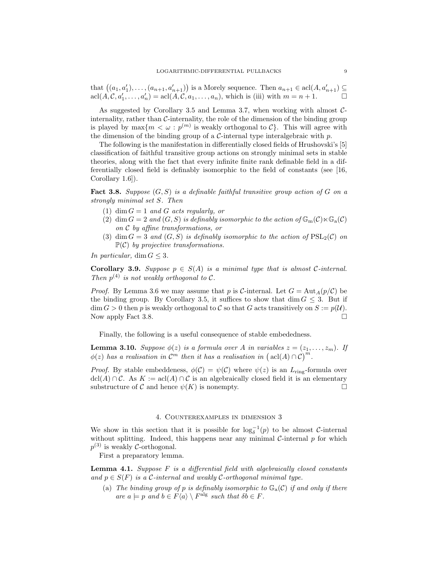that  $((a_1, a'_1), \ldots, (a_{n+1}, a'_{n+1}))$  is a Morely sequence. Then  $a_{n+1} \in \text{acl}(A, a'_{n+1}) \subseteq$  $\operatorname{acl}(A, \mathcal{C}, a'_1, \ldots, a'_n) = \operatorname{acl}(A, \mathcal{C}, a_1, \ldots, a_n),$  which is (iii) with  $m = n + 1.$ 

As suggested by Corollary 3.5 and Lemma 3.7, when working with almost  $C$ internality, rather than  $\mathcal{C}\text{-interality}$ , the role of the dimension of the binding group is played by  $\max\{m < \omega : p^{(m)}\$ is weakly orthogonal to  $\mathcal{C}\}$ . This will agree with the dimension of the binding group of a  $\mathcal{C}\text{-internal type interalgebraic with } p$ .

The following is the manifestation in differentially closed fields of Hrushovski's [5] classification of faithful transitive group actions on strongly minimal sets in stable theories, along with the fact that every infinite finite rank definable field in a differentially closed field is definably isomorphic to the field of constants (see [16, Corollary 1.6]).

**Fact 3.8.** Suppose  $(G, S)$  is a definable faithful transitive group action of G on a strongly minimal set S. Then

- (1) dim  $G = 1$  and G acts regularly, or
- (2) dim  $G = 2$  and  $(G, S)$  is definably isomorphic to the action of  $\mathbb{G}_{\mathrm{m}}(\mathcal{C})\ltimes\mathbb{G}_{\mathrm{a}}(\mathcal{C})$ on C by affine transformations, or
- (3) dim  $G = 3$  and  $(G, S)$  is definably isomorphic to the action of  $PSL_2(\mathcal{C})$  on  $\mathbb{P}(\mathcal{C})$  by projective transformations.

In particular, dim  $G \leq 3$ .

**Corollary 3.9.** Suppose  $p \in S(A)$  is a minimal type that is almost C-internal. Then  $p^{(4)}$  is not weakly orthogonal to C.

*Proof.* By Lemma 3.6 we may assume that p is C-internal. Let  $G = \text{Aut}_A(p/\mathcal{C})$  be the binding group. By Corollary 3.5, it suffices to show that dim  $G \leq 3$ . But if  $\dim G > 0$  then p is weakly orthogonal to C so that G acts transitively on  $S := p(\mathcal{U}).$ Now apply Fact 3.8.  $\Box$ 

Finally, the following is a useful consequence of stable embededness.

**Lemma 3.10.** Suppose  $\phi(z)$  is a formula over A in variables  $z = (z_1, \ldots, z_m)$ . If  $\phi(z)$  has a realisation in  $\overline{\mathcal{C}^m}$  then it has a realisation in  $(\text{acl}(A) \cap \mathcal{C})^m$ .

*Proof.* By stable embeddeness,  $\phi(\mathcal{C}) = \psi(\mathcal{C})$  where  $\psi(z)$  is an  $L_{\text{ring}}$ -formula over  $\text{dcl}(A) \cap C$ . As  $K := \text{acl}(A) \cap C$  is an algebraically closed field it is an elementary substructure of C and hence  $\psi(K)$  is nonempty.

## 4. Counterexamples in dimension 3

We show in this section that it is possible for  $\log_{\delta}^{-1}(p)$  to be almost C-internal without splitting. Indeed, this happens near any minimal  $C$ -internal  $p$  for which  $p^{(3)}$  is weakly *C*-orthogonal.

First a preparatory lemma.

**Lemma 4.1.** Suppose  $F$  is a differential field with algebraically closed constants and  $p \in S(F)$  is a C-internal and weakly C-orthogonal minimal type.

(a) The binding group of p is definably isomorphic to  $\mathbb{G}_{a}(\mathcal{C})$  if and only if there are  $a \models p$  and  $b \in F\langle a \rangle \setminus F^{\text{alg}}$  such that  $\delta b \in F$ .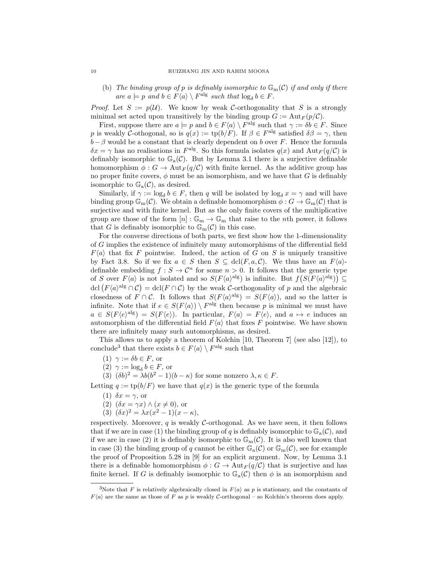(b) The binding group of p is definably isomorphic to  $\mathbb{G}_{\mathrm{m}}(\mathcal{C})$  if and only if there are  $a \models p$  and  $b \in F\langle a \rangle \setminus F^{\text{alg}}$  such that  $\log_{\delta} b \in F$ .

*Proof.* Let  $S := p(\mathcal{U})$ . We know by weak C-orthogonality that S is a strongly minimal set acted upon transitively by the binding group  $G := \text{Aut}_F(p/\mathcal{C})$ .

First, suppose there are  $a \models p$  and  $b \in F\langle a \rangle \setminus F^{\text{alg}}$  such that  $\gamma := \delta b \in F$ . Since p is weakly C-othogonal, so is  $q(x) := \text{tp}(b/F)$ . If  $\beta \in F^{\text{alg}}$  satisfied  $\delta\beta = \gamma$ , then  $b-\beta$  would be a constant that is clearly dependent on b over F. Hence the formula  $\delta x = \gamma$  has no realisations in  $F^{\text{alg}}$ . So this formula isolates  $q(x)$  and  $\text{Aut}_F(q/\mathcal{C})$  is definably isomorphic to  $\mathbb{G}_{a}(\mathcal{C})$ . But by Lemma 3.1 there is a surjective definable homomorphism  $\phi: G \to \text{Aut}_F(q/\mathcal{C})$  with finite kernel. As the additive group has no proper finite covers,  $\phi$  must be an isomorphism, and we have that G is definably isomorphic to  $\mathbb{G}_{a}(\mathcal{C})$ , as desired.

Similarly, if  $\gamma := \log_{\delta} b \in F$ , then q will be isolated by  $\log_{\delta} x = \gamma$  and will have binding group  $\mathbb{G}_{m}(\mathcal{C})$ . We obtain a definable homomorphism  $\phi : G \to \mathbb{G}_{m}(\mathcal{C})$  that is surjective and with finite kernel. But as the only finite covers of the multiplicative group are those of the form  $[n]: \mathbb{G}_m \to \mathbb{G}_m$  that raise to the *n*th power, it follows that G is definably isomorphic to  $\mathbb{G}_{\mathrm{m}}(\mathcal{C})$  in this case.

For the converse directions of both parts, we first show how the 1-dimensionality of G implies the existence of infinitely many automorphisms of the differential field  $F\langle a \rangle$  that fix F pointwise. Indeed, the action of G on S is uniquely transitive by Fact 3.8. So if we fix  $a \in S$  then  $S \subseteq \text{dcl}(F, a, \mathcal{C})$ . We thus have an  $F(a)$ definable embedding  $f : S \to \mathcal{C}^n$  for some  $n > 0$ . It follows that the generic type of S over  $F\langle a \rangle$  is not isolated and so  $S(F\langle a \rangle^{\text{alg}})$  is infinite. But  $f(S(F\langle a \rangle^{\text{alg}})) \subseteq$ dcl  $(F\langle a \rangle^{\text{alg}} \cap \mathcal{C}) = \text{dcl}(F \cap \mathcal{C})$  by the weak C-orthogonality of p and the algebraic closedness of  $F \cap C$ . It follows that  $S(F\langle a \rangle^{\text{alg}}) = S(F\langle a \rangle)$ , and so the latter is infinite. Note that if  $e \in S(F\langle a \rangle) \setminus F^{\text{alg}}$  then because p is minimal we must have  $a \in S(F\langle e \rangle^{\text{alg}}) = S(F\langle e \rangle)$ . In particular,  $F\langle a \rangle = F\langle e \rangle$ , and  $a \mapsto e$  induces an automorphism of the differential field  $F\langle a \rangle$  that fixes F pointwise. We have shown there are infinitely many such automorphisms, as desired.

This allows us to apply a theorem of Kolchin [10, Theorem 7] (see also [12]), to conclude<sup>3</sup> that there exists  $b \in F\langle a \rangle \setminus F^{\text{alg}}$  such that

- (1)  $\gamma := \delta b \in F$ , or
- (2)  $\gamma := \log_{\delta} b \in F$ , or
- (3)  $(\delta b)^2 = \lambda b (b^2 1)(b \kappa)$  for some nonzero  $\lambda, \kappa \in F$ .

Letting  $q := \text{tp}(b/F)$  we have that  $q(x)$  is the generic type of the formula

- (1)  $\delta x = \gamma$ , or
- (2)  $(\delta x = \gamma x) \wedge (x \neq 0)$ , or
- (3)  $(\delta x)^2 = \lambda x (x^2 1) (x \kappa),$

respectively. Moreover, q is weakly C-orthogonal. As we have seen, it then follows that if we are in case (1) the binding group of q is definably isomorphic to  $\mathbb{G}_{a}(\mathcal{C})$ , and if we are in case (2) it is definably isomorphic to  $\mathbb{G}_{m}(\mathcal{C})$ . It is also well known that in case (3) the binding group of q cannot be either  $\mathbb{G}_{\rm a}(\mathcal{C})$  or  $\mathbb{G}_{\rm m}(\mathcal{C})$ , see for example the proof of Proposition 5.28 in [9] for an explicit argument. Now, by Lemma 3.1 there is a definable homomorphism  $\phi: G \to \text{Aut}_F(q/\mathcal{C})$  that is surjective and has finite kernel. If G is definably isomorphic to  $\mathbb{G}_{a}(\mathcal{C})$  then  $\phi$  is an isomorphism and

<sup>&</sup>lt;sup>3</sup>Note that F is relatively algebraically closed in  $F\langle a \rangle$  as p is stationary, and the constants of  $F(a)$  are the same as those of F as p is weakly C-orthogonal – so Kolchin's theorem does apply.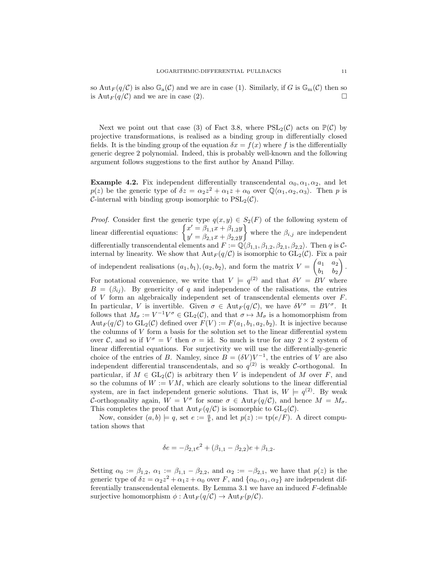so Aut<sub>F</sub>(q/C) is also  $\mathbb{G}_{\rm a}(\mathcal{C})$  and we are in case (1). Similarly, if G is  $\mathbb{G}_{\rm m}(\mathcal{C})$  then so is  $\text{Aut}_F(q/\mathcal{C})$  and we are in case (2).

Next we point out that case (3) of Fact 3.8, where  $PSL_2(\mathcal{C})$  acts on  $\mathbb{P}(\mathcal{C})$  by projective transformations, is realised as a binding group in differentially closed fields. It is the binding group of the equation  $\delta x = f(x)$  where f is the differentially generic degree 2 polynomial. Indeed, this is probably well-known and the following argument follows suggestions to the first author by Anand Pillay.

**Example 4.2.** Fix independent differentially transcendental  $\alpha_0, \alpha_1, \alpha_2$ , and let  $p(z)$  be the generic type of  $\delta z = \alpha_2 z^2 + \alpha_1 z + \alpha_0$  over  $\mathbb{Q}\langle \alpha_1, \alpha_2, \alpha_3 \rangle$ . Then p is C-internal with binding group isomorphic to  $PSL_2(\mathcal{C})$ .

*Proof.* Consider first the generic type  $q(x, y) \in S_2(F)$  of the following system of linear differential equations:  $\begin{cases} x' = \beta_{1,1}x + \beta_{1,2}y \\ y' = \beta_{1,1}x + \beta_{2,2}y \end{cases}$  $y' = \beta_{2,1}x + \beta_{2,2}y$ where the  $\beta_{i,j}$  are independent differentially transcendental elements and  $F := \mathbb{Q}(\beta_{1,1}, \beta_{1,2}, \beta_{2,1}, \beta_{2,2})$ . Then q is Cinternal by linearity. We show that  ${\rm Aut}_F(q/\mathcal{C})$  is isomorphic to  ${\rm GL}_2(\mathcal{C})$ . Fix a pair of independent realisations  $(a_1, b_1), (a_2, b_2)$ , and form the matrix  $V = \begin{pmatrix} a_1 & a_2 \\ b & b_1 \end{pmatrix}$  $b_1$   $b_2$  $\big)$  . For notational convenience, we write that  $V = q^{(2)}$  and that  $\delta V = BV$  where  $B = (\beta_{ij})$ . By genericity of q and independence of the ralisations, the entries of  $V$  form an algebraically independent set of transcendental elements over  $F$ . In particular, V is invertible. Given  $\sigma \in \text{Aut}_F(q/\mathcal{C})$ , we have  $\delta V^{\sigma} = BV^{\sigma}$ . It follows that  $M_{\sigma} := V^{-1}V^{\sigma} \in GL_2(\mathcal{C})$ , and that  $\sigma \mapsto M_{\sigma}$  is a homomorphism from  $Aut_F(q/\mathcal{C})$  to  $GL_2(\mathcal{C})$  defined over  $F(V) := F(a_1, b_1, a_2, b_2)$ . It is injective because the columns of  $V$  form a basis for the solution set to the linear differential system over C, and so if  $V^{\sigma} = V$  then  $\sigma = id$ . So much is true for any  $2 \times 2$  system of linear differential equations. For surjectivity we will use the differentially-generic choice of the entries of B. Namley, since  $B = (\delta V) V^{-1}$ , the entries of V are also independent differential transcendentals, and so  $q^{(2)}$  is weakly C-orthogonal. In particular, if  $M \in GL_2(\mathcal{C})$  is arbitrary then V is independent of M over F, and so the columns of  $W := VM$ , which are clearly solutions to the linear differential system, are in fact independent generic solutions. That is,  $W \models q^{(2)}$ . By weak C-orthogonality again,  $W = V^{\sigma}$  for some  $\sigma \in Aut_F(q/\mathcal{C})$ , and hence  $M = M_{\sigma}$ . This completes the proof that  $\text{Aut}_F(q/\mathcal{C})$  is isomorphic to  $\text{GL}_2(\mathcal{C})$ .

Now, consider  $(a, b) \models q$ , set  $e := \frac{a}{b}$ , and let  $p(z) := \text{tp}(e/F)$ . A direct computation shows that

$$
\delta e = -\beta_{2,1}e^2 + (\beta_{1,1} - \beta_{2,2})e + \beta_{1,2}.
$$

Setting  $\alpha_0 := \beta_{1,2}, \alpha_1 := \beta_{1,1} - \beta_{2,2}$ , and  $\alpha_2 := -\beta_{2,1}$ , we have that  $p(z)$  is the generic type of  $\delta z = \alpha_2 z^2 + \alpha_1 z + \alpha_0$  over F, and  $\{\alpha_0, \alpha_1, \alpha_2\}$  are independent differentially transcendental elements. By Lemma 3.1 we have an induced F-definable surjective homomorphism  $\phi: \text{Aut}_F(q/\mathcal{C}) \to \text{Aut}_F(p/\mathcal{C})$ .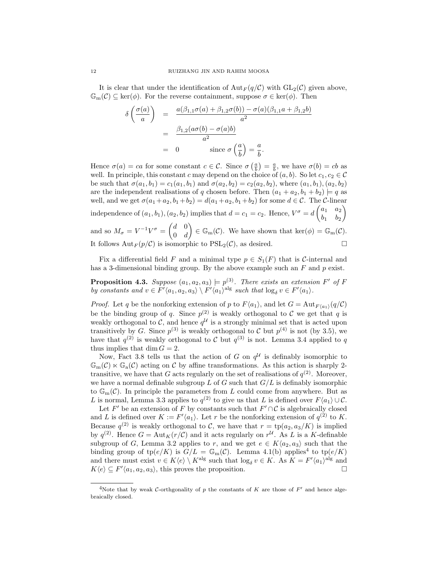It is clear that under the identification of  $\text{Aut}_F(q/\mathcal{C})$  with  $\text{GL}_2(\mathcal{C})$  given above,  $\mathbb{G}_{m}(\mathcal{C}) \subseteq \ker(\phi)$ . For the reverse containment, suppose  $\sigma \in \ker(\phi)$ . Then

$$
\delta\left(\frac{\sigma(a)}{a}\right) = \frac{a(\beta_{1,1}\sigma(a) + \beta_{1,2}\sigma(b)) - \sigma(a)(\beta_{1,1}a + \beta_{1,2}b)}{a^2}
$$

$$
= \frac{\beta_{1,2}(a\sigma(b) - \sigma(a)b)}{a^2}
$$

$$
= 0 \qquad \text{since } \sigma\left(\frac{a}{b}\right) = \frac{a}{b}.
$$

Hence  $\sigma(a) = ca$  for some constant  $c \in \mathcal{C}$ . Since  $\sigma\left(\frac{a}{b}\right) = \frac{a}{b}$ , we have  $\sigma(b) = cb$  as well. In principle, this constant c may depend on the choice of  $(a, b)$ . So let  $c_1, c_2 \in \mathcal{C}$ be such that  $\sigma(a_1, b_1) = c_1(a_1, b_1)$  and  $\sigma(a_2, b_2) = c_2(a_2, b_2)$ , where  $(a_1, b_1), (a_2, b_2)$ are the independent realisations of q chosen before. Then  $(a_1 + a_2, b_1 + b_2) \models q$  as well, and we get  $\sigma(a_1+a_2, b_1+b_2) = d(a_1+a_2, b_1+b_2)$  for some  $d \in \mathcal{C}$ . The C-linear independence of  $(a_1, b_1), (a_2, b_2)$  implies that  $d = c_1 = c_2$ . Hence,  $V^{\sigma} = d \begin{pmatrix} a_1 & a_2 \\ b & b_1 \end{pmatrix}$  $b_1$   $b_2$  $\setminus$ and so  $M_{\sigma} = V^{-1}V^{\sigma} = \begin{pmatrix} d & 0 \\ 0 & d \end{pmatrix}$  $0 \quad d$  $\mathcal{C}(\mathcal{C}) = \mathbb{G}_{\mathrm{m}}(\mathcal{C}).$  We have shown that ker $(\phi) = \mathbb{G}_{\mathrm{m}}(\mathcal{C}).$ It follows  $Aut_F(p/\mathcal{C})$  is isomorphic to  $PSL_2(\mathcal{C})$ , as desired.

Fix a differential field F and a minimal type  $p \in S_1(F)$  that is C-internal and has a 3-dimensional binding group. By the above example such an  $F$  and  $p$  exist.

**Proposition 4.3.** Suppose  $(a_1, a_2, a_3) \models p^{(3)}$ . There exists an extension F' of F by constants and  $v \in F' \langle a_1, a_2, a_3 \rangle \setminus F' \langle a_1 \rangle^{\text{alg}}$  such that  $\log_{\delta} v \in F' \langle a_1 \rangle$ .

*Proof.* Let q be the nonforking extension of p to  $F(a_1)$ , and let  $G = \text{Aut}_{F(a_1)}(q/\mathcal{C})$ be the binding group of q. Since  $p^{(2)}$  is weakly orthogonal to C we get that q is weakly orthogonal to C, and hence  $q^{\mathcal{U}}$  is a strongly minimal set that is acted upon transitively by G. Since  $p^{(3)}$  is weakly orthogonal to C but  $p^{(4)}$  is not (by 3.5), we have that  $q^{(2)}$  is weakly orthogonal to C but  $q^{(3)}$  is not. Lemma 3.4 applied to q thus implies that dim  $G = 2$ .

Now, Fact 3.8 tells us that the action of G on  $q^{\mathcal{U}}$  is definably isomorphic to  $\mathbb{G}_{m}(\mathcal{C}) \ltimes \mathbb{G}_{a}(\mathcal{C})$  acting on C by affine transformations. As this action is sharply 2transitive, we have that G acts regularly on the set of realisations of  $q^{(2)}$ . Moreover, we have a normal definable subgroup L of G such that  $G/L$  is definably isomorphic to  $\mathbb{G}_{\mathrm{m}}(\mathcal{C})$ . In principle the parameters from L could come from anywhere. But as L is normal, Lemma 3.3 applies to  $q^{(2)}$  to give us that L is defined over  $F\langle a_1 \rangle \cup C$ .

Let F' be an extension of F by constants such that  $F' \cap C$  is algebraically closed and L is defined over  $K := F'(a_1)$ . Let r be the nonforking extension of  $q^{(2)}$  to K. Because  $q^{(2)}$  is weakly orthogonal to C, we have that  $r = \text{tp}(a_2, a_3/K)$  is implied by  $q^{(2)}$ . Hence  $G = \text{Aut}_K(r/\mathcal{C})$  and it acts regularly on  $r^{\mathcal{U}}$ . As L is a K-definable subgroup of G, Lemma 3.2 applies to r, and we get  $e \in K\langle a_2, a_3 \rangle$  such that the binding group of tp $(e/K)$  is  $G/L = \mathbb{G}_{m}(\mathcal{C})$ . Lemma 4.1(b) applies<sup>4</sup> to tp $(e/K)$ and there must exist  $v \in K\langle e \rangle \setminus K^{\text{alg}}$  such that  $\log_{\delta} v \in K$ . As  $K = F' \langle a_1 \rangle^{\text{alg}}$  and  $K\langle e \rangle \subseteq F'\langle a_1, a_2, a_3 \rangle$ , this proves the proposition.

<sup>&</sup>lt;sup>4</sup>Note that by weak C-orthgonality of p the constants of K are those of  $F'$  and hence algebraically closed.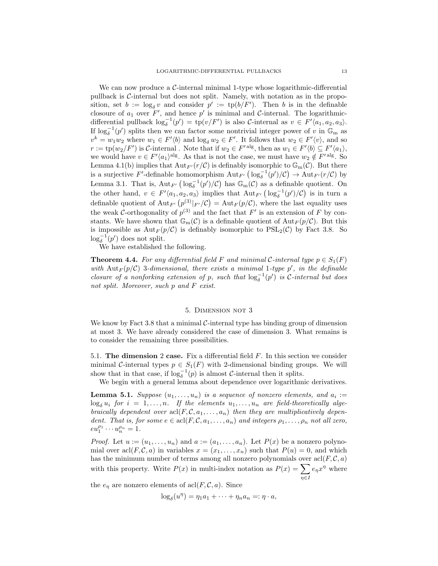We can now produce a  $\mathcal{C}\text{-internal minimal 1-type whose logarithmic-differential}$ pullback is C-internal but does not split. Namely, with notation as in the proposition, set  $b := \log_{\delta} v$  and consider  $p' := \text{tp}(b/F')$ . Then b is in the definable closoure of  $a_1$  over F', and hence p' is minimal and C-internal. The logarithmicdifferential pullback  $\log_{\delta}^{-1}(p') = \text{tp}(v/F')$  is also C-internal as  $v \in F'(a_1, a_2, a_3)$ . If  $\log_{\delta}^{-1}(p')$  splits then we can factor some nontrivial integer power of v in  $\mathbb{G}_{\mathrm{m}}$  as  $v^k = w_1 w_2$  where  $w_1 \in F' \langle b \rangle$  and  $\log_{\delta} w_2 \in F'$ . It follows that  $w_2 \in F' \langle v \rangle$ , and so  $r := \text{tp}(w_2/F')$  is C-internal. Note that if  $w_2 \in F'$  alg, then as  $w_1 \in F' \langle b \rangle \subseteq F' \langle a_1 \rangle$ , we would have  $v \in F'(a_1)^{\text{alg}}$ . As that is not the case, we must have  $w_2 \notin F'^{\text{alg}}$ . So Lemma 4.1(b) implies that  ${\rm Aut}_{F'}(r/\mathcal{C})$  is definably isomorphic to  $\mathbb{G}_{\rm m}(\mathcal{C})$ . But there is a surjective F'-definable homomorphism  $\mathrm{Aut}_{F'}\left(\log_{\delta}^{-1}(p')/C\right) \to \mathrm{Aut}_{F'}(r/C)$  by Lemma 3.1. That is,  $Aut_{F'}\left( \log_{\delta}^{-1}(p')/\mathcal{C} \right)$  has  $\mathbb{G}_{\mathrm{m}}(\mathcal{C})$  as a definable quotient. On the other hand,  $v \in F'(a_1, a_2, a_3)$  implies that  ${\rm Aut}_{F'}(\log_\delta^{-1}(p')/C)$  is in turn a definable quotient of  ${\rm Aut}_{F'}(p^{(3)}|_{F'}/\mathcal{C}) = {\rm Aut}_F(p/\mathcal{C}),$  where the last equality uses the weak C-orthogonality of  $p^{(3)}$  and the fact that  $F'$  is an extension of F by constants. We have shown that  $\mathbb{G}_{m}(\mathcal{C})$  is a definable quotient of  ${\rm Aut}_F(p/\mathcal{C})$ . But this is impossible as  $Aut_F(p/\mathcal{C})$  is definably isomorphic to  $PSL_2(\mathcal{C})$  by Fact 3.8. So  $\log_{\delta}^{-1}(p')$  does not split.

We have established the following.

**Theorem 4.4.** For any differential field F and minimal C-internal type  $p \in S_1(F)$ with  ${\rm Aut}_F(p/\mathcal{C})$  3-dimensional, there exists a minimal 1-type p', in the definable closure of a nonforking extension of p, such that  $\log_6^{-1}(p')$  is C-internal but does not split. Moreover, such p and F exist.

## 5. Dimension not 3

We know by Fact 3.8 that a minimal  $C$ -internal type has binding group of dimension at most 3. We have already considered the case of dimension 3. What remains is to consider the remaining three possibilities.

5.1. The dimension 2 case. Fix a differential field  $F$ . In this section we consider minimal C-internal types  $p \in S_1(F)$  with 2-dimensional binding groups. We will show that in that case, if  $\log_{\delta}^{-1}(p)$  is almost *C*-internal then it splits.

We begin with a general lemma about dependence over logarithmic derivatives.

**Lemma 5.1.** Suppose  $(u_1, \ldots, u_n)$  is a sequence of nonzero elements, and  $a_i :=$  $\log_{\delta} u_i$  for  $i = 1, \ldots, n$ . If the elements  $u_1, \ldots, u_n$  are field-theoretically algebraically dependent over  $\operatorname{acl}(F, \mathcal{C}, a_1, \ldots, a_n)$  then they are multiplicatively dependent. That is, for some  $e \in \text{acl}(F, \mathcal{C}, a_1, \ldots, a_n)$  and integers  $\rho_1, \ldots, \rho_n$  not all zero,  $eu_1^{\rho_1} \cdots u_n^{\rho_n} = 1.$ 

*Proof.* Let  $u := (u_1, \ldots, u_n)$  and  $a := (a_1, \ldots, a_n)$ . Let  $P(x)$  be a nonzero polynomial over  $\text{acl}(F,\mathcal{C},a)$  in variables  $x=(x_1,\ldots,x_n)$  such that  $P(u)=0$ , and which has the minimum number of terms among all nonzero polynomials over  $\text{acl}(F,\mathcal{C},a)$ with this property. Write  $P(x)$  in multi-index notation as  $P(x) = \sum$ η∈I  $e_{\eta}x^{\eta}$  where

the  $e_{\eta}$  are nonzero elements of acl $(F, \mathcal{C}, a)$ . Since

$$
\log_{\delta}(u^{\eta}) = \eta_1 a_1 + \cdots + \eta_n a_n =: \eta \cdot a,
$$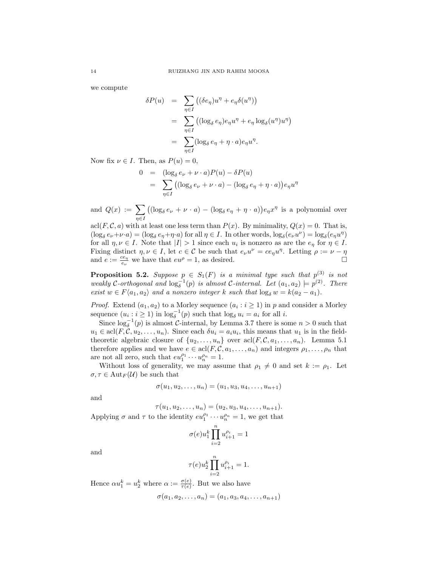we compute

$$
\delta P(u) = \sum_{\eta \in I} ((\delta e_{\eta})u^{\eta} + e_{\eta} \delta(u^{\eta}))
$$
  
= 
$$
\sum_{\eta \in I} ((\log_{\delta} e_{\eta})e_{\eta}u^{\eta} + e_{\eta} \log_{\delta}(u^{\eta})u^{\eta})
$$
  
= 
$$
\sum_{\eta \in I} (\log_{\delta} e_{\eta} + \eta \cdot a)e_{\eta}u^{\eta}.
$$

Now fix  $\nu \in I$ . Then, as  $P(u) = 0$ ,

$$
0 = (\log_{\delta} e_{\nu} + \nu \cdot a)P(u) - \delta P(u)
$$
  
= 
$$
\sum_{\eta \in I} ((\log_{\delta} e_{\nu} + \nu \cdot a) - (\log_{\delta} e_{\eta} + \eta \cdot a))e_{\eta}u^{\eta}
$$

and  $Q(x) := \sum$  $\eta{\in}I$  $((\log_{\delta} e_{\nu} + \nu \cdot a) - (\log_{\delta} e_{\eta} + \eta \cdot a))e_{\eta}x^{\eta}$  is a polynomial over

acl $(F, \mathcal{C}, a)$  with at least one less term than  $P(x)$ . By minimality,  $Q(x) = 0$ . That is,  $(\log_{\delta} e_{\nu} + \nu \cdot a) = (\log_{\delta} e_{\eta} + \eta \cdot a)$  for all  $\eta \in I$ . In other words,  $\log_{\delta} (e_{\nu} u^{\nu}) = \log_{\delta} (e_{\eta} u^{\eta})$ for all  $\eta, \nu \in I$ . Note that  $|I| > 1$  since each  $u_i$  is nonzero as are the  $e_{\eta}$  for  $\eta \in I$ . Fixing distinct  $\eta, \nu \in I$ , let  $c \in \mathcal{C}$  be such that  $e_{\nu}u^{\nu} = ce_{\eta}u^{\eta}$ . Letting  $\rho := \nu - \eta$ and  $e := \frac{ce_\eta}{e}$  $\frac{ce_n}{e_\nu}$  we have that  $eu^\rho = 1$ , as desired.

**Proposition 5.2.** Suppose  $p \in S_1(F)$  is a minimal type such that  $p^{(3)}$  is not weakly C-orthogonal and  $\log_{\delta}^{-1}(p)$  is almost C-internal. Let  $(a_1, a_2) \models p^{(2)}$ . There exist  $w \in F\langle a_1, a_2 \rangle$  and a nonzero integer k such that  $\log_{\delta} w = k(a_2 - a_1)$ .

*Proof.* Extend  $(a_1, a_2)$  to a Morley sequence  $(a_i : i \geq 1)$  in p and consider a Morley sequence  $(u_i : i \ge 1)$  in  $\log_{\delta}^{-1}(p)$  such that  $\log_{\delta} u_i = a_i$  for all i.

Since  $\log_{\delta}^{-1}(p)$  is almost C-internal, by Lemma 3.7 there is some  $n > 0$  such that  $u_1 \in \text{acl}(F, \mathcal{C}, u_2, \ldots, u_n)$ . Since each  $\delta u_i = a_i u_i$ , this means that  $u_1$  is in the fieldtheoretic algebraic closure of  $\{u_2, \ldots, u_n\}$  over  $\operatorname{acl}(F, \mathcal{C}, a_1, \ldots, a_n)$ . Lemma 5.1 therefore applies and we have  $e \in \text{acl}(F, \mathcal{C}, a_1, \ldots, a_n)$  and integers  $\rho_1, \ldots, \rho_n$  that are not all zero, such that  $eu_1^{\rho_1} \cdots u_n^{\rho_n} = 1$ .

Without loss of generality, we may assume that  $\rho_1 \neq 0$  and set  $k := \rho_1$ . Let  $\sigma, \tau \in \mathrm{Aut}_F(\mathcal{U})$  be such that

$$
\sigma(u_1, u_2, \dots, u_n) = (u_1, u_3, u_4, \dots, u_{n+1})
$$

and

 $\tau(u_1, u_2, \ldots, u_n) = (u_2, u_3, u_4, \ldots, u_{n+1}).$ 

Applying  $\sigma$  and  $\tau$  to the identity  $eu_1^{\rho_1} \cdots u_n^{\rho_n} = 1$ , we get that

$$
\sigma(e)u_1^k\prod_{i=2}^n u_{i+1}^{\rho_i}=1
$$

and

$$
\tau(e)u_2^k\prod_{i=2}^nu_{i+1}^{\rho_i}=1.
$$

Hence  $\alpha u_1^k = u_2^k$  where  $\alpha := \frac{\sigma(e)}{\tau(e)}$  $\frac{\sigma(e)}{\tau(e)}$ . But we also have

$$
\sigma(a_1, a_2, \ldots, a_n) = (a_1, a_3, a_4, \ldots, a_{n+1})
$$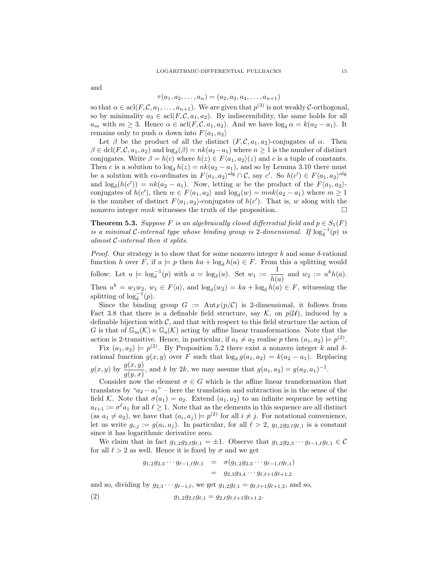and

# $\tau(a_1, a_2, \ldots, a_n) = (a_2, a_3, a_4, \ldots, a_{n+1})$

so that  $\alpha \in \text{acl}(F, \mathcal{C}, a_1, \ldots, a_{n+1})$ . We are given that  $p^{(3)}$  is not weakly  $\mathcal{C}\text{-orthogonal}$ , so by minimality  $a_3 \in \text{acl}(F, \mathcal{C}, a_1, a_2)$ . By indiscernibility, the same holds for all  $a_m$  with  $m \geq 3$ . Hence  $\alpha \in \text{acl}(F, \mathcal{C}, a_1, a_2)$ . And we have  $\log_{\delta} \alpha = k(a_2 - a_1)$ . It remains only to push  $\alpha$  down into  $F\langle a_1, a_2 \rangle$ 

Let  $\beta$  be the product of all the distinct  $(F, \mathcal{C}, a_1, a_2)$ -conjugates of  $\alpha$ . Then  $\beta \in \text{dcl}(F, \mathcal{C}, a_1, a_2)$  and  $\log_{\delta}(\beta) = nk(a_2 - a_1)$  where  $n \geq 1$  is the number of distinct conjugates. Write  $\beta = h(c)$  where  $h(z) \in F\langle a_1, a_2 \rangle(z)$  and c is a tuple of constants. Then c is a solution to  $\log_{\delta} h(z) = nk(a_2 - a_1)$ , and so by Lemma 3.10 there must be a solution with co-ordinates in  $F\langle a_1, a_2 \rangle^{\text{alg}} \cap C$ , say  $c'$ . So  $h(c') \in F\langle a_1, a_2 \rangle^{\text{alg}}$ and  $\log_{\delta}(h(c')) = nk(a_2 - a_1)$ . Now, letting w be the product of the  $F\langle a_1, a_2 \rangle$ conjugates of  $h(c')$ , then  $w \in F\langle a_1, a_2 \rangle$  and  $\log_{\delta}(w) = mnk(a_2 - a_1)$  where  $m \ge 1$ is the number of distinct  $F\langle a_1, a_2 \rangle$ -conjugates of  $h(c')$ . That is, w along with the nonzero integer  $mnk$  witnesses the truth of the proposition.  $\square$ 

**Theorem 5.3.** Suppose F is an algebraically closed differential field and  $p \in S_1(F)$ is a minimal C-internal type whose binding group is 2-dimensional. If  $\log_{\delta}^{-1}(p)$  is almost C-internal then it splits.

*Proof.* Our strategy is to show that for some nonzero integer k and some  $\delta$ -rational function h over F, if  $a \models p$  then  $ka + \log_{\delta} h(a) \in F$ . From this a splitting would follow: Let  $u \models \log_{\delta}^{-1}(p)$  with  $a = \log_{\delta}(u)$ . Set  $w_1 := \frac{1}{b(n)}$  $\frac{1}{h(a)}$  and  $w_2 := u^k h(a)$ . Then  $u^k = w_1 w_2$ ,  $w_1 \in F\langle a \rangle$ , and  $\log_\delta(w_2) = ka + \log_\delta h(a) \in F$ , witnessing the splitting of  $\log_{\delta}^{-1}(p)$ .

Since the binding group  $G := \text{Aut}_F(p/\mathcal{C})$  is 2-dimensional, it follows from Fact 3.8 that there is a definable field structure, say  $\mathcal{K}$ , on  $p(\mathcal{U})$ , induced by a definable bijection with  $\mathcal{C}$ , and that with respect to this field structure the action of G is that of  $\mathbb{G}_{m}(\mathcal{K}) \ltimes \mathbb{G}_{a}(\mathcal{K})$  acting by affine linear transformations. Note that the action is 2-transitive. Hence, in particular, if  $a_1 \neq a_2$  realise p then  $(a_1, a_2) \models p^{(2)}$ .

Fix  $(a_1, a_2) \models p^{(2)}$ . By Proposition 5.2 there exist a nonzero integer k and  $\delta$ rational function  $g(x, y)$  over F such that  $\log_{\delta} g(a_1, a_2) = k(a_2 - a_1)$ . Replacing  $g(x, y)$  by  $\frac{g(x, y)}{g(y, x)}$ , and k by 2k, we may assume that  $g(a_1, a_2) = g(a_2, a_1)^{-1}$ .

Consider now the element  $\sigma \in G$  which is the affine linear transformation that translates by " $a_2 - a_1$ " – here the translation and subtraction is in the sense of the field K. Note that  $\sigma(a_1) = a_2$ . Extend  $(a_1, a_2)$  to an infinite sequence by setting  $a_{\ell+1} := \sigma^{\ell} a_1$  for all  $\ell \geq 1$ . Note that as the elements in this sequence are all distinct (as  $a_1 \neq a_2$ ), we have that  $(a_i, a_j) \models p^{(2)}$  for all  $i \neq j$ . For notational convenience, let us write  $g_{i,j} := g(a_i, a_j)$ . In particular, for all  $\ell > 2$ ,  $g_{1,2}g_{2,\ell}g_{\ell,1}$  is a constant since it has logarithmic derivative zero.

We claim that in fact  $g_{1,2}g_{2,\ell}g_{\ell,1} = \pm 1$ . Observe that  $g_{1,2}g_{2,3} \cdots g_{\ell-1,\ell}g_{\ell,1} \in \mathcal{C}$ for all  $\ell > 2$  as well. Hence it is fixed by  $\sigma$  and we get

$$
g_{1,2}g_{2,3}\cdots g_{\ell-1,\ell}g_{\ell,1} = \sigma(g_{1,2}g_{2,3}\cdots g_{\ell-1,\ell}g_{\ell,1})
$$
  
=  $g_{2,3}g_{3,4}\cdots g_{\ell,\ell+1}g_{\ell+1,2}$ 

and so, dividing by  $g_{2,3} \cdots g_{\ell-1,\ell}$ , we get  $g_{1,2}g_{\ell,1} = g_{\ell,\ell+1}g_{\ell+1,2}$ , and so,

(2) 
$$
g_{1,2}g_{2,\ell}g_{\ell,1} = g_{2,\ell}g_{\ell,\ell+1}g_{\ell+1,2}.
$$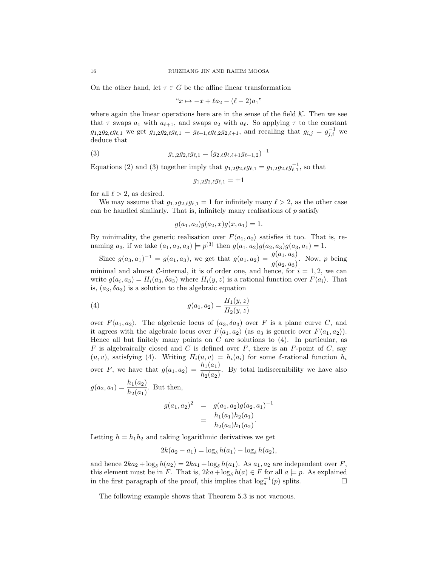On the other hand, let  $\tau \in G$  be the affine linear transformation

$$
x \mapsto -x + \ell a_2 - (\ell - 2)a_1
$$

where again the linear operations here are in the sense of the field  $K$ . Then we see that  $\tau$  swaps  $a_1$  with  $a_{\ell+1}$ , and swaps  $a_2$  with  $a_{\ell}$ . So applying  $\tau$  to the constant  $g_{1,2}g_{2,\ell}g_{\ell,1}$  we get  $g_{1,2}g_{2,\ell}g_{\ell,1} = g_{\ell+1,\ell}g_{\ell,2}g_{2,\ell+1}$ , and recalling that  $g_{i,j} = g_{j,i}^{-1}$  we deduce that

(3) 
$$
g_{1,2}g_{2,\ell}g_{\ell,1} = (g_{2,\ell}g_{\ell,\ell+1}g_{\ell+1,2})^{-1}
$$

Equations (2) and (3) together imply that  $g_{1,2}g_{2,\ell}g_{\ell,1} = g_{1,2}g_{2,\ell}g_{\ell,1}^{-1}$ , so that

$$
g_{1,2}g_{2,\ell}g_{\ell,1}=\pm 1
$$

for all  $\ell > 2$ , as desired.

We may assume that  $g_{1,2}g_{2,\ell}g_{\ell,1} = 1$  for infinitely many  $\ell > 2$ , as the other case can be handled similarly. That is, infinitely many realisations of  $p$  satisfy

$$
g(a_1, a_2)g(a_2, x)g(x, a_1) = 1.
$$

By minimality, the generic realisation over  $F\langle a_1, a_2 \rangle$  satisfies it too. That is, renaming  $a_3$ , if we take  $(a_1, a_2, a_3) \models p^{(3)}$  then  $g(a_1, a_2)g(a_2, a_3)g(a_3, a_1) = 1$ .

Since  $g(a_3, a_1)^{-1} = g(a_1, a_3)$ , we get that  $g(a_1, a_2) = \frac{g(a_1, a_3)}{g(a_2, a_3)}$ . Now, p being minimal and almost C-internal, it is of order one, and hence, for  $i = 1, 2$ , we can write  $g(a_i, a_3) = H_i(a_3, \delta a_3)$  where  $H_i(y, z)$  is a rational function over  $F\langle a_i \rangle$ . That is,  $(a_3, \delta a_3)$  is a solution to the algebraic equation

(4) 
$$
g(a_1, a_2) = \frac{H_1(y, z)}{H_2(y, z)}
$$

over  $F\langle a_1, a_2 \rangle$ . The algebraic locus of  $(a_3, \delta a_3)$  over F is a plane curve C, and it agrees with the algebraic locus over  $F\langle a_1, a_2 \rangle$  (as  $a_3$  is generic over  $F\langle a_1, a_2 \rangle$ ). Hence all but finitely many points on  $C$  are solutions to  $(4)$ . In particular, as  $F$  is algebraically closed and C is defined over  $F$ , there is an  $F$ -point of C, say  $(u, v)$ , satisfying (4). Writing  $H_i(u, v) = h_i(a_i)$  for some  $\delta$ -rational function  $h_i$ over F, we have that  $g(a_1, a_2) = \frac{h_1(a_1)}{h_2(a_2)}$ . By total indiscernibility we have also

 $g(a_2, a_1) = \frac{h_1(a_2)}{h_2(a_1)}$ . But then,  $g(a_1, a_2)^2 = g(a_1, a_2)g(a_2, a_1)^{-1}$  $= \frac{h_1(a_1)h_2(a_1)}{h_1(a_1)h_2(a_1)}$  $\frac{h_1(\alpha_1)h_2(\alpha_1)}{h_2(a_2)h_1(a_2)}$ .

Letting  $h = h_1 h_2$  and taking logarithmic derivatives we get

$$
2k(a_2 - a_1) = \log_{\delta} h(a_1) - \log_{\delta} h(a_2),
$$

and hence  $2ka_2 + \log_\delta h(a_2) = 2ka_1 + \log_\delta h(a_1)$ . As  $a_1, a_2$  are independent over F, this element must be in F. That is,  $2ka + \log_{\delta} h(a) \in F$  for all  $a \models p$ . As explained in the first paragraph of the proof, this implies that  $\log_{\delta}^{-1}(p)$  splits.  $□$ 

The following example shows that Theorem 5.3 is not vacuous.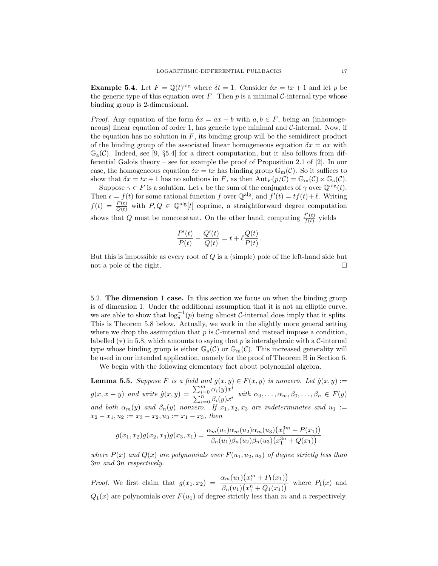**Example 5.4.** Let  $F = \mathbb{Q}(t)^{alg}$  where  $\delta t = 1$ . Consider  $\delta x = tx + 1$  and let p be the generic type of this equation over F. Then p is a minimal C-internal type whose binding group is 2-dimensional.

*Proof.* Any equation of the form  $\delta x = ax + b$  with  $a, b \in F$ , being an (inhomogeneous) linear equation of order 1, has generic type minimal and  $\mathcal{C}\text{-internal}$ . Now, if the equation has no solution in  $F$ , its binding group will be the semidirect product of the binding group of the associated linear homogeneous equation  $\delta x = ax$  with  $\mathbb{G}_{a}(\mathcal{C})$ . Indeed, see [9, §5.4] for a direct computation, but it also follows from differential Galois theory – see for example the proof of Proposition 2.1 of [2]. In our case, the homogeneous equation  $\delta x = tx$  has binding group  $\mathbb{G}_{\mathrm{m}}(\mathcal{C})$ . So it suffices to show that  $\delta x = tx + 1$  has no solutions in F, as then  $Aut_F(p/C) = \mathbb{G}_m(C) \ltimes \mathbb{G}_a(C)$ .

Suppose  $\gamma \in F$  is a solution. Let  $\epsilon$  be the sum of the conjugates of  $\gamma$  over  $\mathbb{Q}^{\text{alg}}(t)$ . Then  $\epsilon = f(t)$  for some rational function f over  $\mathbb{Q}^{alg}$ , and  $f'(t) = tf(t) + \ell$ . Writing  $f(t) = \frac{P(t)}{Q(t)}$  with  $P, Q \in \mathbb{Q}^{\text{alg}}[t]$  coprime, a straightforward degree computation shows that Q must be nonconstant. On the other hand, computing  $\frac{f'(t)}{f(t)}$  $\frac{f(t)}{f(t)}$  yields

$$
\frac{P'(t)}{P(t)} - \frac{Q'(t)}{Q(t)} = t + \ell \frac{Q(t)}{P(t)}.
$$

But this is impossible as every root of  $Q$  is a (simple) pole of the left-hand side but not a pole of the right.

5.2. The dimension 1 case. In this section we focus on when the binding group is of dimension 1. Under the additional assumption that it is not an elliptic curve, we are able to show that  $\log_{\delta}^{-1}(p)$  being almost C-internal does imply that it splits. This is Theorem 5.8 below. Actually, we work in the slightly more general setting where we drop the assumption that  $p$  is C-internal and instead impose a condition, labelled ( $*$ ) in 5.8, which amounts to saying that p is interalgebraic with a C-internal type whose binding group is either  $\mathbb{G}_{a}(\mathcal{C})$  or  $\mathbb{G}_{m}(\mathcal{C})$ . This increased generality will be used in our intended application, namely for the proof of Theorem B in Section 6.

We begin with the following elementary fact about polynomial algebra.

**Lemma 5.5.** Suppose F is a field and  $g(x, y) \in F(x, y)$  is nonzero. Let  $\hat{g}(x, y) :=$  $g(x, x + y)$  and write  $\hat{g}(x, y) = \frac{\sum_{i=0}^{m} \alpha_i(y) x^i}{\sum_{i=0}^{n} \alpha_i(y)}$  $\frac{\sum_{i=0}^{n} \alpha_i(y)x_i}{\sum_{i=0}^{n} \beta_i(y)x_i}$  with  $\alpha_0, \ldots, \alpha_m, \beta_0, \ldots, \beta_n \in F(y)$ and both  $\alpha_m(y)$  and  $\beta_n(y)$  nonzero. If  $x_1, x_2, x_3$  are indeterminates and  $u_1 :=$  $x_2 - x_1, u_2 := x_3 - x_2, u_3 := x_1 - x_3$ , then

$$
g(x_1, x_2)g(x_2, x_3)g(x_3, x_1) = \frac{\alpha_m(u_1)\alpha_m(u_2)\alpha_m(u_3)(x_1^{3m} + P(x_1))}{\beta_n(u_1)\beta_n(u_2)\beta_n(u_3)(x_1^{3n} + Q(x_1))}
$$

where  $P(x)$  and  $Q(x)$  are polynomials over  $F(u_1, u_2, u_3)$  of degree strictly less than 3m and 3n respectively.

*Proof.* We first claim that  $g(x_1, x_2) = \frac{\alpha_m(u_1)(x_1^m + P_1(x_1))}{a_1(x_1 + P_1(x_1))}$  $\frac{\beta_n(\alpha_1)(x_1 + 1(\alpha_1))}{\beta_n(u_1)(x_1^n + Q_1(x_1))}$  where  $P_1(x)$  and  $Q_1(x)$  are polynomials over  $F(u_1)$  of degree strictly less than m and n respectively.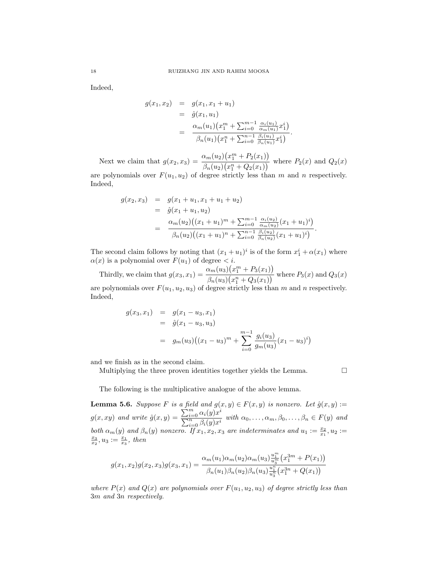Indeed,

$$
g(x_1, x_2) = g(x_1, x_1 + u_1)
$$
  
=  $\hat{g}(x_1, u_1)$   
=  $\frac{\alpha_m(u_1)(x_1^m + \sum_{i=0}^{m-1} \frac{\alpha_i(u_1)}{\alpha_m(u_1)} x_1^i)}{\beta_n(u_1)(x_1^n + \sum_{i=0}^{n-1} \frac{\beta_i(u_1)}{\beta_n(u_1)} x_1^i)}.$ 

Next we claim that  $g(x_2, x_3) = \frac{\alpha_m(u_2)(x_1^m + P_2(x_1))}{a_1(x_2^m + P_3(x_1))}$  $\frac{\partial m(x_2)(x_1 + 2x_1)}{\partial n(u_2)(x_1^n + Q_2(x_1))}$  where  $P_2(x)$  and  $Q_2(x)$ 

are polynomials over  $F(u_1, u_2)$  of degree strictly less than m and n respectively. Indeed,

$$
g(x_2, x_3) = g(x_1 + u_1, x_1 + u_1 + u_2)
$$
  
=  $\hat{g}(x_1 + u_1, u_2)$   
=  $\frac{\alpha_m(u_2)((x_1 + u_1)^m + \sum_{i=0}^{m-1} \frac{\alpha_i(u_2)}{\alpha_m(u_2)}(x_1 + u_1)^i)}{\beta_n(u_2)((x_1 + u_1)^n + \sum_{i=0}^{n-1} \frac{\beta_i(u_2)}{\beta_n(u_2)}(x_1 + u_1)^i)}.$ 

The second claim follows by noting that  $(x_1 + u_1)^i$  is of the form  $x_1^i + \alpha(x_1)$  where  $\alpha(x)$  is a polynomial over  $F(u_1)$  of degree  $\lt i$ .

Thirdly, we claim that  $g(x_3, x_1) = \frac{\alpha_m(u_3)(x_1^m + P_3(x_1))}{a_1(x_3 + P_3(x_1))}$  $\frac{\partial m(x_3)}{\partial n(u_3)(x_1^n + Q_3(x_1))}$  where  $P_3(x)$  and  $Q_3(x)$ are polynomials over  $F(u_1, u_2, u_3)$  of degree strictly less than m and n respectively.

Indeed,

$$
g(x_3, x_1) = g(x_1 - u_3, x_1)
$$
  
=  $\hat{g}(x_1 - u_3, u_3)$   
=  $g_m(u_3)((x_1 - u_3)^m + \sum_{i=0}^{m-1} \frac{g_i(u_3)}{g_m(u_3)}(x_1 - u_3)^i)$ 

and we finish as in the second claim.

Multiplying the three proven identities together yields the Lemma.  $\hfill \Box$ 

The following is the multiplicative analogue of the above lemma.

**Lemma 5.6.** Suppose F is a field and  $g(x, y) \in F(x, y)$  is nonzero. Let  $\hat{g}(x, y) :=$  $g(x, xy)$  and write  $\hat{g}(x, y) = \frac{\sum_{i=0}^{m} \alpha_i(y) x^i}{\sum_{i=0}^{n} \alpha_i(y)}$  $\frac{\sum_{i=0}^{\infty} \alpha_i(y)x_i}{\sum_{i=0}^n \beta_i(y)x_i}$  with  $\alpha_0, \ldots, \alpha_m, \beta_0, \ldots, \beta_n \in F(y)$  and both  $\alpha_m(y)$  and  $\beta_n(y)$  nonzero. If  $x_1, x_2, x_3$  are indeterminates and  $u_1 := \frac{x_2}{x_1}, u_2 :=$  $\frac{x_3}{x_2}, u_3 := \frac{x_1}{x_3}, \text{ then}$ 

$$
g(x_1, x_2)g(x_2, x_3)g(x_3, x_1) = \frac{\alpha_m(u_1)\alpha_m(u_2)\alpha_m(u_3)\frac{u_1^m}{u_3^m}(x_1^{3m} + P(x_1))}{\beta_n(u_1)\beta_n(u_2)\beta_n(u_3)\frac{u_1^n}{u_3^n}(x_1^{3n} + Q(x_1))}
$$

where  $P(x)$  and  $Q(x)$  are polynomials over  $F(u_1, u_2, u_3)$  of degree strictly less than 3m and 3n respectively.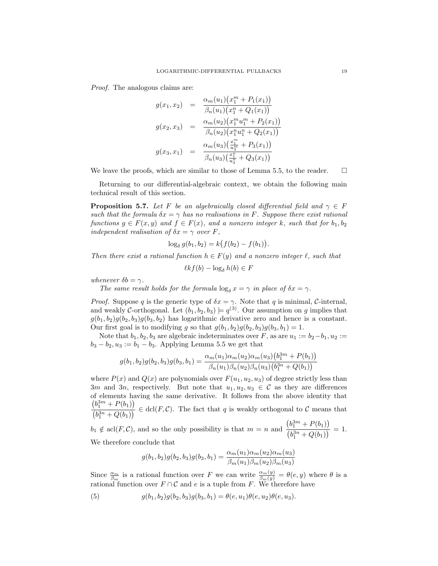Proof. The analogous claims are:

$$
g(x_1, x_2) = \frac{\alpha_m(u_1)(x_1^m + P_1(x_1))}{\beta_n(u_1)(x_1^n + Q_1(x_1))}
$$

$$
g(x_2, x_3) = \frac{\alpha_m(u_2)(x_1^m u_1^m + P_2(x_1))}{\beta_n(u_2)(x_1^n u_1^n + Q_2(x_1))}
$$

$$
g(x_3, x_1) = \frac{\alpha_m(u_3)(\frac{x_1^m}{u_3^m} + P_3(x_1))}{\beta_n(u_3)(\frac{x_1^n}{u_3^n} + Q_3(x_1))}
$$

We leave the proofs, which are similar to those of Lemma 5.5, to the reader.  $\square$ 

Returning to our differential-algebraic context, we obtain the following main technical result of this section.

**Proposition 5.7.** Let F be an algebraically closed differential field and  $\gamma \in F$ such that the formula  $\delta x = \gamma$  has no realisations in F. Suppose there exist rational functions  $g \in F(x, y)$  and  $f \in F(x)$ , and a nonzero integer k, such that for  $b_1, b_2$ independent realisation of  $\delta x = \gamma$  over F,

$$
\log_{\delta} g(b_1, b_2) = k(f(b_2) - f(b_1)).
$$

Then there exist a rational function  $h \in F(y)$  and a nonzero integer  $\ell$ , such that

 $\ell k f(b) - \log_{\delta} h(b) \in F$ 

whenever  $\delta b = \gamma$ .

The same result holds for the formula  $\log_{\delta} x = \gamma$  in place of  $\delta x = \gamma$ .

*Proof.* Suppose q is the generic type of  $\delta x = \gamma$ . Note that q is minimal, C-internal, and weakly C-orthogonal. Let  $(b_1, b_2, b_3) \models q^{(3)}$ . Our assumption on g implies that  $g(b_1, b_2)g(b_2, b_3)g(b_3, b_2)$  has logarithmic derivative zero and hence is a constant. Our first goal is to modifying g so that  $g(b_1, b_2)g(b_2, b_3)g(b_3, b_1) = 1$ .

Note that  $b_1, b_2, b_3$  are algebraic indeterminates over F, as are  $u_1 := b_2-b_1, u_2 :=$  $b_3 - b_2, u_3 := b_1 - b_3$ . Applying Lemma 5.5 we get that

$$
g(b_1, b_2)g(b_2, b_3)g(b_3, b_1) = \frac{\alpha_m(u_1)\alpha_m(u_2)\alpha_m(u_3)(b_1^{3m} + P(b_1))}{\beta_n(u_1)\beta_n(u_2)\beta_n(u_3)(b_1^{3n} + Q(b_1))}
$$

where  $P(x)$  and  $Q(x)$  are polynomials over  $F(u_1, u_2, u_3)$  of degree strictly less than 3m and 3n, respectively. But note that  $u_1, u_2, u_3 \in \mathcal{C}$  as they are differences of elements having the same derivative. It follows from the above identity that  $(b_1^{3m} + P(b_1))$  $\frac{\partial^2 [S_1 + S_2(S_1)]}{\partial B_1^3 + Q(b_1)} \in \text{dcl}(F, \mathcal{C}).$  The fact that q is weakly orthogonal to C means that

 $b_1 \notin \operatorname{acl}(F, \mathcal{C})$ , and so the only possibility is that  $m = n$  and  $(b_1^{3m} + P(b_1))$ 3m  $\frac{(b_1^{3n} + Q(b_1))}{(b_1^{3n} + Q(b_1))} = 1.$ We therefore conclude that

$$
g(b_1, b_2)g(b_2, b_3)g(b_3, b_1) = \frac{\alpha_m(u_1)\alpha_m(u_2)\alpha_m(u_3)}{\beta_m(u_1)\beta_m(u_2)\beta_m(u_3)}
$$

Since  $\frac{\alpha_m}{\beta_m}$  is a rational function over F we can write  $\frac{\alpha_m(y)}{\beta_m(y)} = \theta(e, y)$  where  $\theta$  is a rational function over  $F \cap C$  and e is a tuple from F. We therefore have

(5) 
$$
g(b_1, b_2)g(b_2, b_3)g(b_3, b_1) = \theta(e, u_1)\theta(e, u_2)\theta(e, u_3).
$$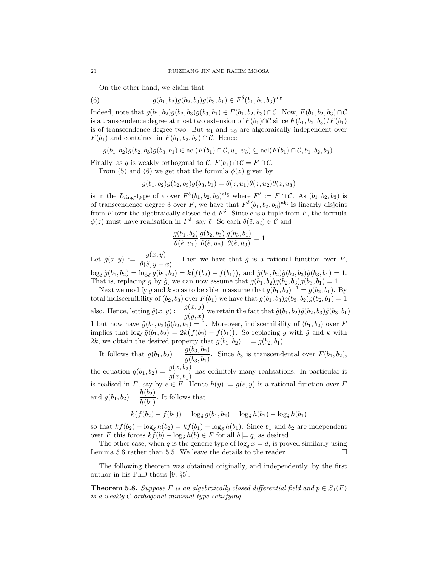On the other hand, we claim that

(6) 
$$
g(b_1, b_2)g(b_2, b_3)g(b_3, b_1) \in F^{\delta}(b_1, b_2, b_3)^{\text{alg}}.
$$

Indeed, note that  $g(b_1, b_2)g(b_2, b_3)g(b_3, b_1) \in F(b_1, b_2, b_3) \cap C$ . Now,  $F(b_1, b_2, b_3) \cap C$ is a transcendence degree at most two extension of  $F(b_1) \cap C$  since  $F(b_1, b_2, b_3)/F(b_1)$ is of transcendence degree two. But  $u_1$  and  $u_3$  are algebraically independent over  $F(b_1)$  and contained in  $F(b_1, b_2, b_3) \cap C$ . Hence

$$
g(b_1, b_2)g(b_2, b_3)g(b_3, b_1) \in \text{acl}(F(b_1) \cap C, u_1, u_3) \subseteq \text{acl}(F(b_1) \cap C, b_1, b_2, b_3).
$$

Finally, as q is weakly orthogonal to C,  $F(b_1) \cap C = F \cap C$ .

From (5) and (6) we get that the formula  $\phi(z)$  given by

$$
g(b_1, b_2)g(b_2, b_3)g(b_3, b_1) = \theta(z, u_1)\theta(z, u_2)\theta(z, u_3)
$$

is in the  $L_{\text{ring}}$ -type of e over  $F^{\delta}(b_1, b_2, b_3)$ <sup>alg</sup> where  $F^{\delta} := F \cap C$ . As  $(b_1, b_2, b_3)$  is of transcendence degree 3 over F, we have that  $F^{\delta}(b_1, b_2, b_3)$ <sup>alg</sup> is linearly disjoint from F over the algebraically closed field  $F^{\delta}$ . Since e is a tuple from F, the formula  $\phi(z)$  must have realisation in  $F^{\delta}$ , say  $\tilde{e}$ . So each  $\theta(\tilde{e}, u_i) \in \mathcal{C}$  and

$$
\frac{g(b_1, b_2)}{\theta(\tilde{e}, u_1)} \frac{g(b_2, b_3)}{\theta(\tilde{e}, u_2)} \frac{g(b_3, b_1)}{\theta(\tilde{e}, u_3)} = 1
$$

Let  $\tilde{g}(x, y) := \frac{g(x, y)}{\theta(\tilde{e}, y - x)}$ . Then we have that  $\tilde{g}$  is a rational function over F,  $\log_{\delta} \tilde{g}(b_1, b_2) = \log_{\delta} g(b_1, b_2) = k(f(b_2) - f(b_1)), \text{ and } \tilde{g}(b_1, b_2)\tilde{g}(b_2, b_3)\tilde{g}(b_3, b_1) = 1.$ That is, replacing g by  $\tilde{g}$ , we can now assume that  $g(b_1, b_2)g(b_2, b_3)g(b_3, b_1) = 1$ .

Next we modify g and k so as to be able to assume that  $g(b_1, b_2)^{-1} = g(b_2, b_1)$ . By total indiscernibility of  $(b_2, b_3)$  over  $F(b_1)$  we have that  $g(b_1, b_3)g(b_3, b_2)g(b_2, b_1) = 1$ also. Hence, letting  $\tilde{g}(x, y) := \frac{g(x, y)}{g(y, x)}$  we retain the fact that  $\tilde{g}(b_1, b_2)\tilde{g}(b_2, b_3)\tilde{g}(b_3, b_1) =$ 1 but now have  $\tilde{g}(b_1, b_2)\tilde{g}(b_2, b_1) = 1$ . Moreover, indiscernibility of  $(b_1, b_2)$  over F implies that  $\log_{\delta} \tilde{g}(b_1, b_2) = 2k(f(b_2) - f(b_1))$ . So replacing g with  $\tilde{g}$  and k with 2k, we obtain the desired property that  $g(b_1, b_2)^{-1} = g(b_2, b_1)$ .

It follows that  $g(b_1, b_2) = \frac{g(b_3, b_2)}{g(b_3, b_1)}$ . Since  $b_3$  is transcendental over  $F(b_1, b_2)$ ,

the equation  $g(b_1, b_2) = \frac{g(x, b_2)}{g(x, b_1)}$  has cofinitely many realisations. In particular it is realised in F, say by  $e \in F$ . Hence  $h(y) := g(e, y)$  is a rational function over F and  $g(b_1, b_2) = \frac{h(b_2)}{h(b_1)}$ . It follows that

$$
k(f(b_2) - f(b_1)) = \log_{\delta} g(b_1, b_2) = \log_{\delta} h(b_2) - \log_{\delta} h(b_1)
$$

so that  $kf(b_2) - \log_\delta h(b_2) = kf(b_1) - \log_\delta h(b_1)$ . Since  $b_1$  and  $b_2$  are independent over F this forces  $kf(b) - \log_{\delta} h(b) \in F$  for all  $b \models q$ , as desired.

The other case, when q is the generic type of  $\log_{\delta} x = d$ , is proved similarly using Lemma 5.6 rather than 5.5. We leave the details to the reader.  $\Box$ 

The following theorem was obtained originally, and independently, by the first author in his PhD thesis [9, §5].

**Theorem 5.8.** Suppose F is an algebraically closed differential field and  $p \in S_1(F)$ is a weakly C-orthogonal minimal type satisfying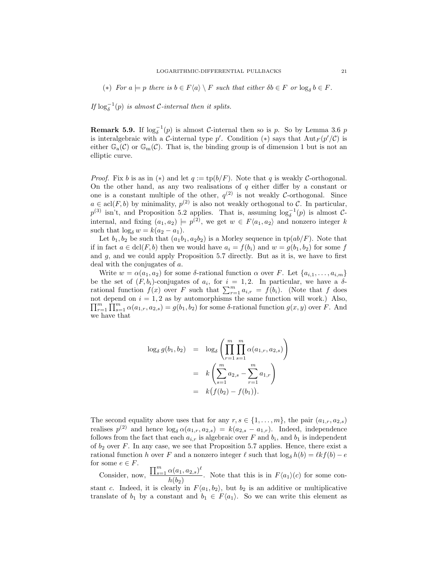(\*) For  $a \models p$  there is  $b \in F\langle a \rangle \setminus F$  such that either  $\delta b \in F$  or  $\log_{\delta} b \in F$ .

If  $\log_{\delta}^{-1}(p)$  is almost C-internal then it splits.

**Remark 5.9.** If  $\log_{\delta}^{-1}(p)$  is almost C-internal then so is p. So by Lemma 3.6 p is interalgebraic with a C-internal type p'. Condition (\*) says that  ${\rm Aut}_F(p'/\mathcal{C})$  is either  $\mathbb{G}_{a}(\mathcal{C})$  or  $\mathbb{G}_{m}(\mathcal{C})$ . That is, the binding group is of dimension 1 but is not an elliptic curve.

*Proof.* Fix b is as in (\*) and let  $q := tp(b/F)$ . Note that q is weakly C-orthogonal. On the other hand, as any two realisations of  $q$  either differ by a constant or one is a constant multiple of the other,  $q^{(2)}$  is not weakly C-orthogonal. Since  $a \in \text{acl}(F, b)$  by minimality,  $p^{(2)}$  is also not weakly orthogonal to C. In particular,  $p^{(3)}$  isn't, and Proposition 5.2 applies. That is, assuming  $\log_{\delta}^{-1}(p)$  is almost Cinternal, and fixing  $(a_1, a_2) \models p^{(2)}$ , we get  $w \in F\langle a_1, a_2 \rangle$  and nonzero integer k such that  $\log_{\delta} w = k(a_2 - a_1)$ .

Let  $b_1, b_2$  be such that  $(a_1b_1, a_2b_2)$  is a Morley sequence in  $tp(ab/F)$ . Note that if in fact  $a \in \text{dcl}(F, b)$  then we would have  $a_i = f(b_i)$  and  $w = g(b_1, b_2)$  for some f and  $g$ , and we could apply Proposition 5.7 directly. But as it is, we have to first deal with the conjugates of a.

Write  $w = \alpha(a_1, a_2)$  for some  $\delta$ -rational function  $\alpha$  over F. Let  $\{a_{i,1}, \ldots, a_{i,m}\}$ be the set of  $(F, b_i)$ -conjugates of  $a_i$ , for  $i = 1, 2$ . In particular, we have a  $\delta$ rational function  $f(x)$  over F such that  $\sum_{r=1}^{m} a_{i,r} = f(b_i)$ . (Note that f does not depend on  $i = 1, 2$  as by automorphisms the same function will work.) Also,  $\prod_{r=1}^m \prod_{s=1}^m \alpha(a_{1,r}, a_{2,s}) = g(b_1, b_2)$  for some  $\delta$ -rational function  $g(x, y)$  over F. And we have that

$$
\log_{\delta} g(b_1, b_2) = \log_{\delta} \left( \prod_{r=1}^{m} \prod_{s=1}^{m} \alpha(a_{1,r}, a_{2,s}) \right)
$$
  
=  $k \left( \sum_{s=1}^{m} a_{2,s} - \sum_{r=1}^{m} a_{1,r} \right)$   
=  $k \left( f(b_2) - f(b_1) \right).$ 

The second equality above uses that for any  $r, s \in \{1, \ldots, m\}$ , the pair  $(a_{1,r}, a_{2,s})$ realises  $p^{(2)}$  and hence  $\log_{\delta} \alpha(a_{1,r}, a_{2,s}) = k(a_{2,s} - a_{1,r})$ . Indeed, independence follows from the fact that each  $a_{i,r}$  is algebraic over F and  $b_i$ , and  $b_1$  is independent of  $b_2$  over F. In any case, we see that Proposition 5.7 applies. Hence, there exist a rational function h over F and a nonzero integer  $\ell$  such that  $\log_{\delta} h(b) = \ell k f(b) - e$ for some  $e \in F$ .

Consider, now,  $\frac{\prod_{s=1}^{m} \alpha(a_1, a_{2,s})^{\ell}}{\ell(s,a_1,a_2,a_2,a_1,a_2,a_2,a_1,a_2,a_2,a_2,a_1,a_2,a_2,a_2,a_1,a_2,a_2,a_2,a_1,a_2,a_2,a_2,a_1,a_2,a_2,a_1,a_2,a_2,a_1,a_2,a_2,a_1,a_2,a_2,a_1,a_2,a_2,a_1,a_2,a_2,a_1,a_2,a_2,a_1,a_2,a_2,a_1,a_2,a_2,a_1,a_2,a_2,a_1,a_2,a_2,a_1,a_2,a_2,a$  $\frac{\partial a(a_1, a_2, s)}{\partial (b_2)}$ . Note that this is in  $F\langle a_1 \rangle (c)$  for some constant c. Indeed, it is clearly in  $F\langle a_1, b_2 \rangle$ , but  $b_2$  is an additive or multiplicative translate of  $b_1$  by a constant and  $b_1 \in F\langle a_1 \rangle$ . So we can write this element as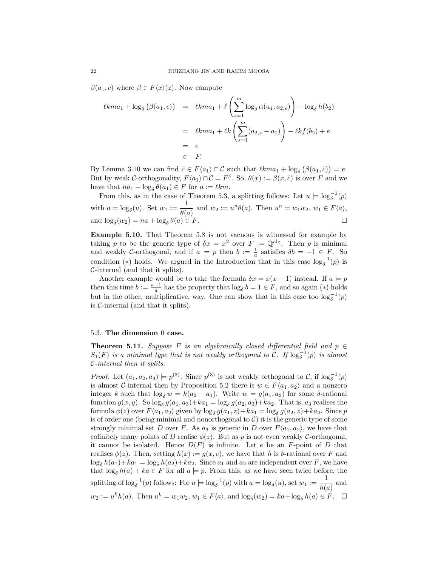$\beta(a_1, c)$  where  $\beta \in F\langle x \rangle(z)$ . Now compute

$$
\ell k m a_1 + \log_{\delta} (\beta(a_1, c)) = \ell k m a_1 + \ell \left( \sum_{s=1}^{m} \log_{\delta} \alpha(a_1, a_{2,s}) \right) - \log_{\delta} h(b_2)
$$
  
=  $\ell k m a_1 + \ell k \left( \sum_{s=1}^{m} (a_{2,s} - a_1) \right) - \ell k f(b_2) + e$   
=  $e$   
 $\in F.$ 

By Lemma 3.10 we can find  $\tilde{c} \in F\langle a_1 \rangle \cap C$  such that  $\ell kma_1 + \log_{\delta} (\beta(a_1, \tilde{c})) = e$ . But by weak C-orthogonality,  $F\langle a_1 \rangle \cap C = F^{\delta}$ . So,  $\theta(x) := \beta(x, \tilde{c})$  is over F and we have that  $na_1 + \log_\delta \theta(a_1) \in F$  for  $n := \ell km$ .

From this, as in the case of Theorem 5.3, a splitting follows: Let  $u \models \log_{\delta}^{-1}(p)$ δ with  $a = \log_{\delta}(u)$ . Set  $w_1 := \frac{1}{\theta(u)}$  $\frac{1}{\theta(a)}$  and  $w_2 := u^n \theta(a)$ . Then  $u^n = w_1 w_2, w_1 \in F\langle a \rangle$ , and  $\log_{\delta}(w_2) = na + \log_{\delta}$  $\theta(a) \in F$ .

Example 5.10. That Theorem 5.8 is not vacuous is witnessed for example by taking p to be the generic type of  $\delta x = x^2$  over  $F := \mathbb{Q}^{\text{alg}}$ . Then p is minimal and weakly C-orthogonal, and if  $a \models p$  then  $b := \frac{1}{a}$  satisfies  $\delta b = -1 \in F$ . So condition (\*) holds. We argued in the Introduction that in this case  $\log_{\delta}^{-1}(p)$  is C-internal (and that it splits).

Another example would be to take the formula  $\delta x = x(x - 1)$  instead. If  $a \models p$ then this time  $b := \frac{a-1}{a}$  has the property that  $\log_{\delta} b = 1 \in F$ , and so again (\*) holds but in the other, multiplicative, way. One can show that in this case too  $\log_{\delta}^{-1}(p)$ is  $C$ -internal (and that it splits).

## 5.3. The dimension 0 case.

**Theorem 5.11.** Suppose F is an algebraically closed differential field and  $p \in$  $S_1(F)$  is a minimal type that is not weakly orthogonal to  $\mathcal{C}$ . If  $\log_{\delta}^{-1}(p)$  is almost C-internal then it splits.

*Proof.* Let  $(a_1, a_2, a_3) \models p^{(3)}$ . Since  $p^{(3)}$  is not weakly orthogonal to C, if  $\log_{\delta}^{-1}(p)$ is almost C-internal then by Proposition 5.2 there is  $w \in F\langle a_1, a_2 \rangle$  and a nonzero integer k such that  $\log_{\delta} w = k(a_2 - a_1)$ . Write  $w = g(a_1, a_2)$  for some δ-rational function  $g(x, y)$ . So  $\log_{\delta} g(a_1, a_3) + ka_1 = \log_{\delta} g(a_2, a_3) + ka_2$ . That is,  $a_3$  realises the formula  $\phi(z)$  over  $F\langle a_1, a_2 \rangle$  given by  $\log_{\delta} g(a_1, z) + ka_1 = \log_{\delta} g(a_2, z) + ka_2$ . Since p is of order one (being minimal and nonorthogonal to  $C$ ) it is the generic type of some strongly minimal set D over F. As  $a_3$  is generic in D over  $F\langle a_1, a_2 \rangle$ , we have that cofinitely many points of D realise  $\phi(z)$ . But as p is not even weakly C-orthogonal, it cannot be isolated. Hence  $D(F)$  is infinite. Let e be an F-point of D that realises  $\phi(z)$ . Then, setting  $h(x) := g(x, e)$ , we have that h is  $\delta$ -rational over F and  $\log_{\delta} h(a_1) + ka_1 = \log_{\delta} h(a_2) + ka_2$ . Since  $a_1$  and  $a_2$  are independent over F, we have that  $\log_{\delta} h(a) + ka \in F$  for all  $a \models p$ . From this, as we have seen twice before, the splitting of  $\log_{\delta}^{-1}(p)$  follows: For  $u \models \log_{\delta}^{-1}(p)$  with  $a = \log_{\delta}(u)$ , set  $w_1 := \frac{1}{b}$  $\frac{1}{h(a)}$  and  $w_2 := u^k h(a)$ . Then  $u^k = w_1 w_2, w_1 \in F\langle a \rangle$ , and  $\log_\delta(w_2) = ka + \log_\delta h(a) \in F$ .  $\Box$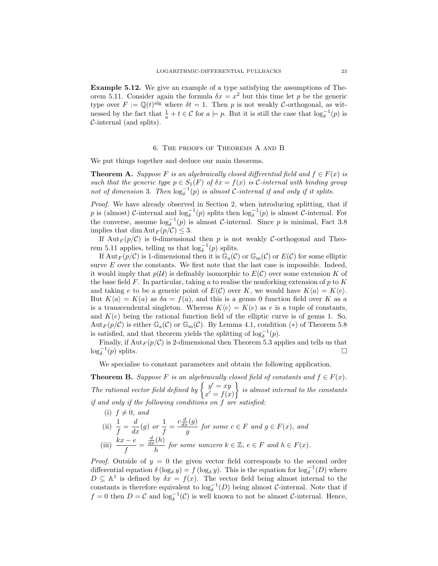Example 5.12. We give an example of a type satisfying the assumptions of Theorem 5.11. Consider again the formula  $\delta x = x^2$  but this time let p be the generic type over  $F := \mathbb{Q}(t)^{\text{alg}}$  where  $\delta t = 1$ . Then p is not weakly C-orthogonal, as witnessed by the fact that  $\frac{1}{a} + t \in C$  for  $a \models p$ . But it is still the case that  $\log_{\delta}^{-1}(p)$  is C-internal (and splits).

## 6. The proofs of Theorems A and B

We put things together and deduce our main theorems.

**Theorem A.** Suppose F is an algebraically closed differential field and  $f \in F(x)$  is such that the generic type  $p \in S_1(F)$  of  $\delta x = f(x)$  is C-internal with binding group not of dimension 3. Then  $\log_{\delta}^{-1}(p)$  is almost C-internal if and only if it splits.

Proof. We have already observed in Section 2, when introducing splitting, that if p is (almost)  $C$ -internal and  $\log_{\delta}^{-1}(p)$  splits then  $\log_{\delta}^{-1}(p)$  is almost  $C$ -internal. For the converse, assume  $\log_{\delta}^{-1}(p)$  is almost C-internal. Since p is minimal, Fact 3.8 implies that dim  $\text{Aut}_F (p/\mathcal{C}) \leq 3$ .

If  $Aut_F(p/\mathcal{C})$  is 0-dimensional then p is not weakly C-orthogonal and Theorem 5.11 applies, telling us that  $\log_{\delta}^{-1}(p)$  splits.

If  $Aut_F(p/\mathcal{C})$  is 1-dimensional then it is  $\mathbb{G}_a(\mathcal{C})$  or  $\mathbb{G}_m(\mathcal{C})$  or  $E(\mathcal{C})$  for some elliptic surve  $E$  over the constants. We first note that the last case is impossible. Indeed, it would imply that  $p(\mathcal{U})$  is definably isomorphic to  $E(\mathcal{C})$  over some extension K of the base field F. In particular, taking a to realise the nonforking extension of  $p$  to  $K$ and taking e to be a generic point of  $E(\mathcal{C})$  over K, we would have  $K\langle a \rangle = K\langle e \rangle$ . But  $K\langle a \rangle = K(a)$  as  $\delta a = f(a)$ , and this is a genus 0 function field over K as a is a transcendental singleton. Whereas  $K\langle e \rangle = K(e)$  as e is a tuple of constants, and  $K(e)$  being the rational function field of the elliptic curve is of genus 1. So, Aut<sub>F</sub>( $p/\mathcal{C}$ ) is either  $\mathbb{G}_{a}(\mathcal{C})$  or  $\mathbb{G}_{m}(\mathcal{C})$ . By Lemma 4.1, condition (\*) of Theorem 5.8 is satisfied, and that theorem yields the splitting of  $\log_{\delta}^{-1}(p)$ .

Finally, if  $\text{Aut}_F(p/\mathcal{C})$  is 2-dimensional then Theorem 5.3 applies and tells us that  $\log_{\delta}^{-1}(p)$  splits.

We specialise to constant parameters and obtain the following application.

**Theorem B.** Suppose F is an algebraically closed field of constants and  $f \in F(x)$ . The rational vector field defined by  $\begin{cases} y' = xy \\ y' = c \end{cases}$  $x' = f(x)$  $\}$  is almost internal to the constants if and only if the following conditions on f are satisfied:

(i)  $f \neq 0$ , and (ii)  $\frac{1}{f} = \frac{d}{dx}(g)$  or  $\frac{1}{f}$  $\frac{1}{f} = \frac{c\frac{d}{dx}(g)}{g}$  $\frac{g(x)}{g}$  for some  $c \in F$  and  $g \in F(x)$ , and (iii)  $\frac{kx-e}{f}$  =  $\frac{d}{dx}(h)$  $\frac{f(h)}{h}$  for some nonzero  $k \in \mathbb{Z}$ ,  $e \in F$  and  $h \in F(x)$ .

*Proof.* Outside of  $y = 0$  the given vector field corresponds to the second order differential equation  $\delta (\log_{\delta} y) = f (\log_{\delta} y)$ . This is the equation for  $\log_{\delta}^{-1}(D)$  where  $D \subseteq \mathbb{A}^1$  is defined by  $\delta x = f(x)$ . The vector field being almost internal to the constants is therefore equivalent to  $\log_{\delta}^{-1}(D)$  being almost C-internal. Note that if  $f = 0$  then  $D = C$  and  $\log_{\delta}^{-1}(C)$  is well known to not be almost C-internal. Hence,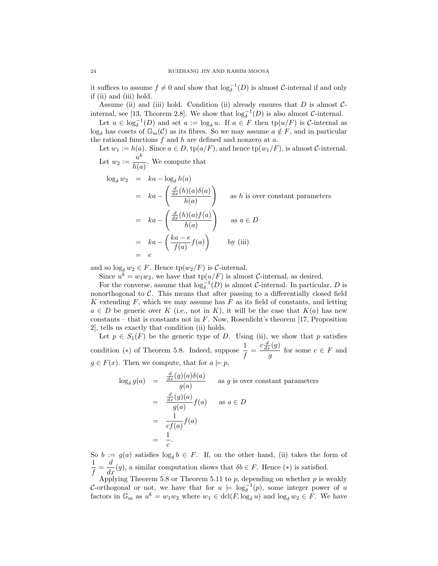it suffices to assume  $f \neq 0$  and show that  $\log_{\delta}^{-1}(D)$  is almost C-internal if and only if (ii) and (iii) hold.

Assume (ii) and (iii) hold. Condition (ii) already ensures that  $D$  is almost  $C$ internal, see [13, Theorem 2.8]. We show that  $\log_{\delta}^{-1}(D)$  is also almost C-internal.

Let  $u \in \log_{\delta}^{-1}(D)$  and set  $a := \log_{\delta} u$ . If  $a \in F$  then  $tp(u/F)$  is C-internal as  $\log_{\delta}$  has cosets of  $\mathbb{G}_{m}(\mathcal{C})$  as its fibres. So we may assume  $a \notin F$ , and in particular the rational functions  $f$  and  $h$  are defined and nonzero at  $a$ .

Let  $w_1 := h(a)$ . Since  $a \in D$ ,  $tp(a/F)$ , and hence  $tp(w_1/F)$ , is almost *C*-internal. Let  $w_2 := \frac{u^k}{\frac{1}{k}$  $\frac{a}{h(a)}$ . We compute that

$$
\log_{\delta} w_2 = ka - \log_{\delta} h(a)
$$
  
=  $ka - \left(\frac{\frac{d}{dx}(h)(a)\delta(a)}{h(a)}\right)$  as *h* is over constant parameters  
=  $ka - \left(\frac{\frac{d}{dx}(h)(a)f(a)}{h(a)}\right)$  as  $a \in D$   
=  $ka - \left(\frac{ka - e}{f(a)}f(a)\right)$  by (iii)  
=  $e$ 

and so  $\log_{\delta} w_2 \in F$ . Hence  $\text{tp}(w_2/F)$  is C-internal.

Since  $u^k = w_1 w_2$ , we have that  $\text{tp}(u/F)$  is almost C-internal, as desired.

For the converse, assume that  $\log_{\delta}^{-1}(D)$  is almost C-internal. In particular, D is nonorthogonal to  $C$ . This means that after passing to a differentially closed field K extending  $F$ , which we may assume has  $F$  as its field of constants, and letting  $a \in D$  be generic over K (i.e., not in K), it will be the case that  $K(a)$  has new constants – that is constants not in  $F$ . Now, Rosenlicht's theorem [17, Proposition] 2], tells us exactly that condition (ii) holds.

Let  $p \in S_1(F)$  be the generic type of D. Using (ii), we show that p satisfies condition (\*) of Theorem 5.8. Indeed, suppose  $\frac{1}{f} = \frac{c \frac{d}{dx}(g)}{g}$  $\frac{g^{(g)}}{g}$  for some  $c \in F$  and  $g \in F(x)$ . Then we compute, that for  $a \models p$ .

$$
\log_{\delta} g(a) = \frac{\frac{d}{dx}(g)(a)\delta(a)}{g(a)}
$$
as *g* is over constant parameters  

$$
= \frac{\frac{d}{dx}(g)(a)}{g(a)} f(a)
$$
as  $a \in D$   

$$
= \frac{1}{cf(a)} f(a)
$$
  

$$
= \frac{1}{c}.
$$

So  $b := g(a)$  satisfies  $\log_{\delta} b \in F$ . If, on the other hand, (ii) takes the form of 1  $\frac{1}{f} = \frac{d}{dx}(g)$ , a similar computation shows that  $\delta b \in F$ . Hence  $(*)$  is satisfied.

Applying Theorem 5.8 or Theorem 5.11 to  $p$ , depending on whether  $p$  is weakly C-orthogonal or not, we have that for  $u = \log_{\delta}^{-1}(p)$ , some integer power of u factors in  $\mathbb{G}_m$  as  $u^k = w_1w_2$  where  $w_1 \in \text{dcl}(F, \log_\delta u)$  and  $\log_\delta w_2 \in F$ . We have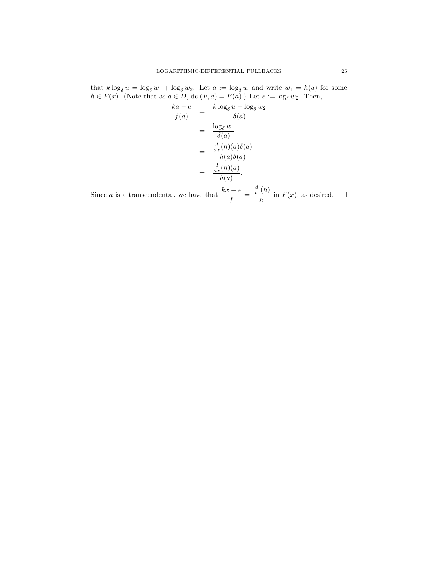that  $k \log_{\delta} u = \log_{\delta} w_1 + \log_{\delta} w_2$ . Let  $a := \log_{\delta} u$ , and write  $w_1 = h(a)$  for some  $h \in F(x)$ . (Note that as  $a \in D$ ,  $dcl(F, a) = F(a)$ .) Let  $e := \log_{\delta} w_2$ . Then,

$$
\frac{ka - e}{f(a)} = \frac{k \log_{\delta} u - \log_{\delta} w_2}{\delta(a)}
$$

$$
= \frac{\log_{\delta} w_1}{\delta(a)}
$$

$$
= \frac{\frac{d}{dx}(h)(a)\delta(a)}{h(a)\delta(a)}
$$

$$
= \frac{\frac{d}{dx}(h)(a)}{h(a)}.
$$

Since *a* is a transcendental, we have that  $\frac{kx - e}{f}$  =  $\frac{d}{dx}(h)$  $\frac{\Gamma(n)}{h}$  in  $F(x)$ , as desired.  $\Box$